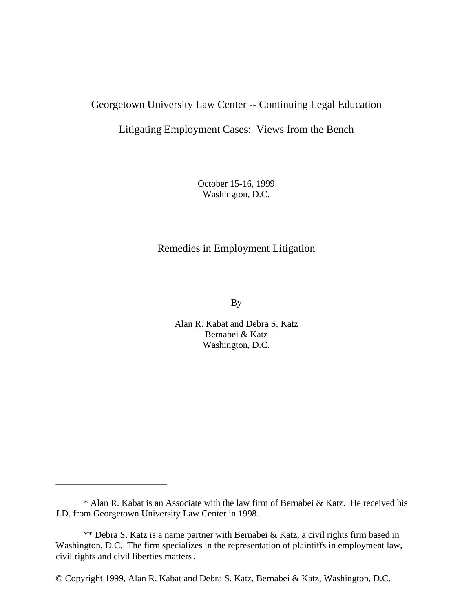# Georgetown University Law Center -- Continuing Legal Education

Litigating Employment Cases: Views from the Bench

October 15-16, 1999 Washington, D.C.

# Remedies in Employment Litigation

By

Alan R. Kabat and Debra S. Katz Bernabei & Katz Washington, D.C.

\_\_\_\_\_\_\_\_\_\_\_\_\_\_\_\_\_\_\_\_

<sup>\*</sup> Alan R. Kabat is an Associate with the law firm of Bernabei & Katz. He received his J.D. from Georgetown University Law Center in 1998.

<sup>\*\*</sup> Debra S. Katz is a name partner with Bernabei & Katz, a civil rights firm based in Washington, D.C. The firm specializes in the representation of plaintiffs in employment law, civil rights and civil liberties matters.

<sup>©</sup> Copyright 1999, Alan R. Kabat and Debra S. Katz, Bernabei & Katz, Washington, D.C.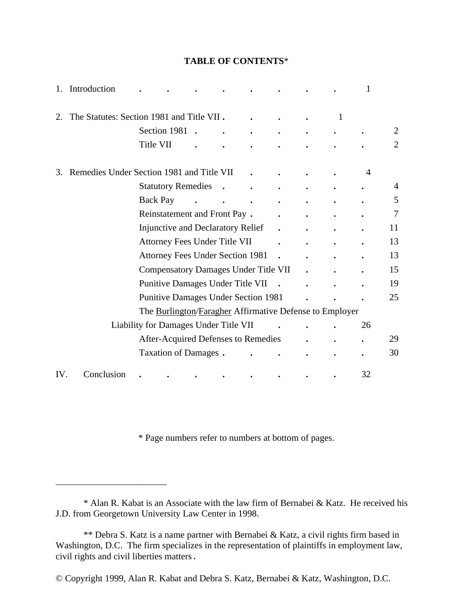# 1. Introduction **. . . . . . . .** 1 2. The Statutes: Section 1981 and Title VII **. . . .** 1 Section 1981 **. . . . . . .** 2 Title VII **. . . . . . .** 2 3. Remedies Under Section 1981 and Title VII **. . . .** 4 Statutory Remedies **. . . . . .** 4 Back Pay **. . . . . . .** 5 Reinstatement and Front Pay **. . . . .** 7 Injunctive and Declaratory Relief **. . . .** 11 Attorney Fees Under Title VII **. . . .** 13 Attorney Fees Under Section 1981 **. . . .** 13 Compensatory Damages Under Title VII **. . .** 15 Punitive Damages Under Title VII **. . . .** 19 Punitive Damages Under Section 1981 **. . .** 25 The Burlington/Faragher Affirmative Defense to Employer Liability for Damages Under Title VII **. . .** 26 After-Acquired Defenses to Remedies **. . .** 29 Taxation of Damages **. . . . . .** 30 IV. Conclusion **. . . . . . . .** 32

**TABLE OF CONTENTS**\*

\* Page numbers refer to numbers at bottom of pages.

\_\_\_\_\_\_\_\_\_\_\_\_\_\_\_\_\_\_\_\_

<sup>\*</sup> Alan R. Kabat is an Associate with the law firm of Bernabei & Katz. He received his J.D. from Georgetown University Law Center in 1998.

<sup>\*\*</sup> Debra S. Katz is a name partner with Bernabei & Katz, a civil rights firm based in Washington, D.C. The firm specializes in the representation of plaintiffs in employment law, civil rights and civil liberties matters.

<sup>©</sup> Copyright 1999, Alan R. Kabat and Debra S. Katz, Bernabei & Katz, Washington, D.C.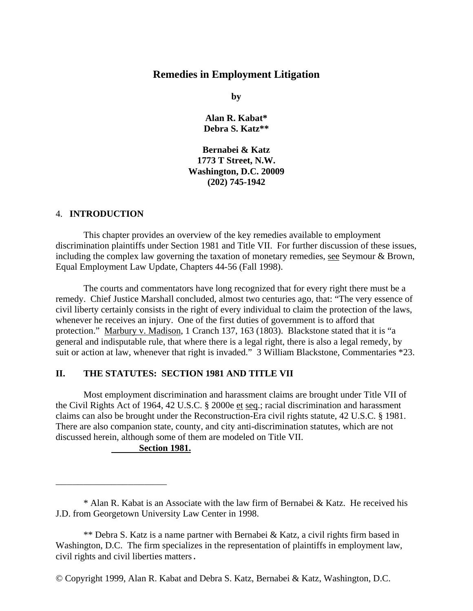# **Remedies in Employment Litigation**

**by**

**Alan R. Kabat\* Debra S. Katz\*\***

**Bernabei & Katz 1773 T Street, N.W. Washington, D.C. 20009 (202) 745-1942**

# 4. **INTRODUCTION**

This chapter provides an overview of the key remedies available to employment discrimination plaintiffs under Section 1981 and Title VII. For further discussion of these issues, including the complex law governing the taxation of monetary remedies, see Seymour & Brown, Equal Employment Law Update, Chapters 44-56 (Fall 1998).

The courts and commentators have long recognized that for every right there must be a remedy. Chief Justice Marshall concluded, almost two centuries ago, that: "The very essence of civil liberty certainly consists in the right of every individual to claim the protection of the laws, whenever he receives an injury. One of the first duties of government is to afford that protection." Marbury v. Madison, 1 Cranch 137, 163 (1803). Blackstone stated that it is "a general and indisputable rule, that where there is a legal right, there is also a legal remedy, by suit or action at law, whenever that right is invaded." 3 William Blackstone, Commentaries \*23.

# **II. THE STATUTES: SECTION 1981 AND TITLE VII**

Most employment discrimination and harassment claims are brought under Title VII of the Civil Rights Act of 1964, 42 U.S.C. § 2000e et seq.; racial discrimination and harassment claims can also be brought under the Reconstruction-Era civil rights statute, 42 U.S.C. § 1981. There are also companion state, county, and city anti-discrimination statutes, which are not discussed herein, although some of them are modeled on Title VII.

## **Section 1981.**

\_\_\_\_\_\_\_\_\_\_\_\_\_\_\_\_\_\_\_\_

<sup>\*</sup> Alan R. Kabat is an Associate with the law firm of Bernabei & Katz. He received his J.D. from Georgetown University Law Center in 1998.

<sup>\*\*</sup> Debra S. Katz is a name partner with Bernabei & Katz, a civil rights firm based in Washington, D.C. The firm specializes in the representation of plaintiffs in employment law, civil rights and civil liberties matters.

<sup>©</sup> Copyright 1999, Alan R. Kabat and Debra S. Katz, Bernabei & Katz, Washington, D.C.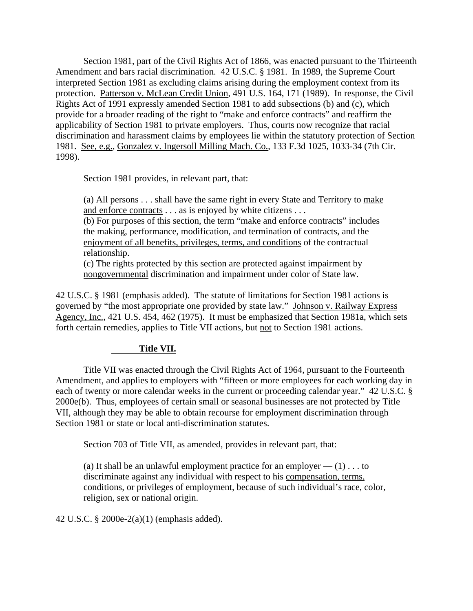Section 1981, part of the Civil Rights Act of 1866, was enacted pursuant to the Thirteenth Amendment and bars racial discrimination. 42 U.S.C. § 1981. In 1989, the Supreme Court interpreted Section 1981 as excluding claims arising during the employment context from its protection. Patterson v. McLean Credit Union, 491 U.S. 164, 171 (1989). In response, the Civil Rights Act of 1991 expressly amended Section 1981 to add subsections (b) and (c), which provide for a broader reading of the right to "make and enforce contracts" and reaffirm the applicability of Section 1981 to private employers. Thus, courts now recognize that racial discrimination and harassment claims by employees lie within the statutory protection of Section 1981. See, e.g., Gonzalez v. Ingersoll Milling Mach. Co., 133 F.3d 1025, 1033-34 (7th Cir. 1998).

Section 1981 provides, in relevant part, that:

(a) All persons . . . shall have the same right in every State and Territory to make and enforce contracts . . . as is enjoyed by white citizens . . .

(b) For purposes of this section, the term "make and enforce contracts" includes the making, performance, modification, and termination of contracts, and the enjoyment of all benefits, privileges, terms, and conditions of the contractual relationship.

(c) The rights protected by this section are protected against impairment by nongovernmental discrimination and impairment under color of State law.

42 U.S.C. § 1981 (emphasis added). The statute of limitations for Section 1981 actions is governed by "the most appropriate one provided by state law." Johnson v. Railway Express Agency, Inc., 421 U.S. 454, 462 (1975). It must be emphasized that Section 1981a, which sets forth certain remedies, applies to Title VII actions, but not to Section 1981 actions.

# **Title VII.**

Title VII was enacted through the Civil Rights Act of 1964, pursuant to the Fourteenth Amendment, and applies to employers with "fifteen or more employees for each working day in each of twenty or more calendar weeks in the current or proceeding calendar year." 42 U.S.C. § 2000e(b). Thus, employees of certain small or seasonal businesses are not protected by Title VII, although they may be able to obtain recourse for employment discrimination through Section 1981 or state or local anti-discrimination statutes.

Section 703 of Title VII, as amended, provides in relevant part, that:

(a) It shall be an unlawful employment practice for an employer  $- (1) \dots$  to discriminate against any individual with respect to his compensation, terms, conditions, or privileges of employment, because of such individual's race, color, religion, sex or national origin.

42 U.S.C. § 2000e-2(a)(1) (emphasis added).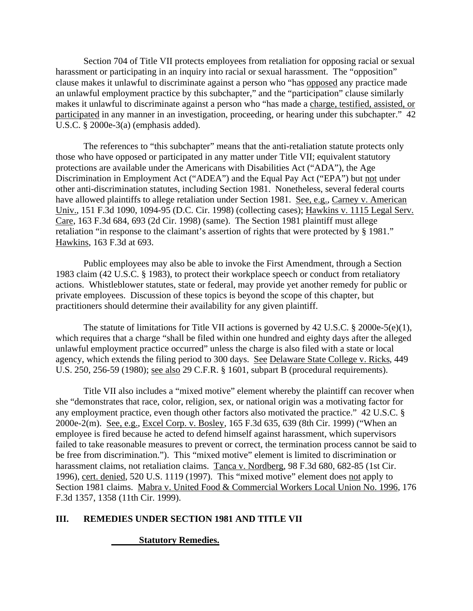Section 704 of Title VII protects employees from retaliation for opposing racial or sexual harassment or participating in an inquiry into racial or sexual harassment. The "opposition" clause makes it unlawful to discriminate against a person who "has opposed any practice made an unlawful employment practice by this subchapter," and the "participation" clause similarly makes it unlawful to discriminate against a person who "has made a charge, testified, assisted, or participated in any manner in an investigation, proceeding, or hearing under this subchapter." 42 U.S.C. § 2000e-3(a) (emphasis added).

The references to "this subchapter" means that the anti-retaliation statute protects only those who have opposed or participated in any matter under Title VII; equivalent statutory protections are available under the Americans with Disabilities Act ("ADA"), the Age Discrimination in Employment Act ("ADEA") and the Equal Pay Act ("EPA") but not under other anti-discrimination statutes, including Section 1981. Nonetheless, several federal courts have allowed plaintiffs to allege retaliation under Section 1981. See, e.g., Carney v. American Univ., 151 F.3d 1090, 1094-95 (D.C. Cir. 1998) (collecting cases); Hawkins v. 1115 Legal Serv. Care, 163 F.3d 684, 693 (2d Cir. 1998) (same). The Section 1981 plaintiff must allege retaliation "in response to the claimant's assertion of rights that were protected by § 1981." Hawkins, 163 F.3d at 693.

Public employees may also be able to invoke the First Amendment, through a Section 1983 claim (42 U.S.C. § 1983), to protect their workplace speech or conduct from retaliatory actions. Whistleblower statutes, state or federal, may provide yet another remedy for public or private employees. Discussion of these topics is beyond the scope of this chapter, but practitioners should determine their availability for any given plaintiff.

The statute of limitations for Title VII actions is governed by 42 U.S.C. § 2000e-5(e)(1), which requires that a charge "shall be filed within one hundred and eighty days after the alleged unlawful employment practice occurred" unless the charge is also filed with a state or local agency, which extends the filing period to 300 days. See Delaware State College v. Ricks, 449 U.S. 250, 256-59 (1980); see also 29 C.F.R. § 1601, subpart B (procedural requirements).

Title VII also includes a "mixed motive" element whereby the plaintiff can recover when she "demonstrates that race, color, religion, sex, or national origin was a motivating factor for any employment practice, even though other factors also motivated the practice." 42 U.S.C. § 2000e-2(m). See, e.g., Excel Corp. v. Bosley, 165 F.3d 635, 639 (8th Cir. 1999) ("When an employee is fired because he acted to defend himself against harassment, which supervisors failed to take reasonable measures to prevent or correct, the termination process cannot be said to be free from discrimination."). This "mixed motive" element is limited to discrimination or harassment claims, not retaliation claims. Tanca v. Nordberg, 98 F.3d 680, 682-85 (1st Cir. 1996), cert. denied, 520 U.S. 1119 (1997). This "mixed motive" element does not apply to Section 1981 claims. Mabra v. United Food & Commercial Workers Local Union No. 1996, 176 F.3d 1357, 1358 (11th Cir. 1999).

# **III. REMEDIES UNDER SECTION 1981 AND TITLE VII**

# **Statutory Remedies.**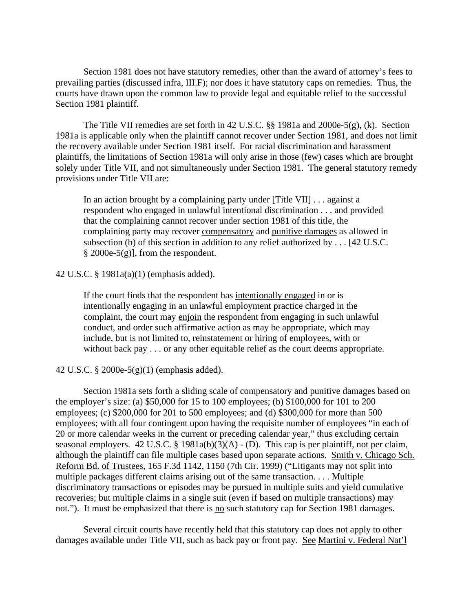Section 1981 does not have statutory remedies, other than the award of attorney's fees to prevailing parties (discussed infra, III.F); nor does it have statutory caps on remedies. Thus, the courts have drawn upon the common law to provide legal and equitable relief to the successful Section 1981 plaintiff.

The Title VII remedies are set forth in 42 U.S.C. §§ 1981a and 2000e-5(g), (k). Section 1981a is applicable only when the plaintiff cannot recover under Section 1981, and does not limit the recovery available under Section 1981 itself. For racial discrimination and harassment plaintiffs, the limitations of Section 1981a will only arise in those (few) cases which are brought solely under Title VII, and not simultaneously under Section 1981. The general statutory remedy provisions under Title VII are:

In an action brought by a complaining party under [Title VII] . . . against a respondent who engaged in unlawful intentional discrimination . . . and provided that the complaining cannot recover under section 1981 of this title, the complaining party may recover compensatory and punitive damages as allowed in subsection (b) of this section in addition to any relief authorized by . . . [42 U.S.C.  $§$  2000e-5(g)], from the respondent.

#### 42 U.S.C. § 1981a(a)(1) (emphasis added).

If the court finds that the respondent has intentionally engaged in or is intentionally engaging in an unlawful employment practice charged in the complaint, the court may enjoin the respondent from engaging in such unlawful conduct, and order such affirmative action as may be appropriate, which may include, but is not limited to, reinstatement or hiring of employees, with or without back pay . . . or any other equitable relief as the court deems appropriate.

## 42 U.S.C. § 2000e-5(g)(1) (emphasis added).

Section 1981a sets forth a sliding scale of compensatory and punitive damages based on the employer's size: (a) \$50,000 for 15 to 100 employees; (b) \$100,000 for 101 to 200 employees; (c) \$200,000 for 201 to 500 employees; and (d) \$300,000 for more than 500 employees; with all four contingent upon having the requisite number of employees "in each of 20 or more calendar weeks in the current or preceding calendar year," thus excluding certain seasonal employers. 42 U.S.C. § 1981a(b)(3)(A) - (D). This cap is per plaintiff, not per claim, although the plaintiff can file multiple cases based upon separate actions. Smith v. Chicago Sch. Reform Bd. of Trustees, 165 F.3d 1142, 1150 (7th Cir. 1999) ("Litigants may not split into multiple packages different claims arising out of the same transaction. . . . Multiple discriminatory transactions or episodes may be pursued in multiple suits and yield cumulative recoveries; but multiple claims in a single suit (even if based on multiple transactions) may not."). It must be emphasized that there is no such statutory cap for Section 1981 damages.

Several circuit courts have recently held that this statutory cap does not apply to other damages available under Title VII, such as back pay or front pay. See Martini v. Federal Nat'l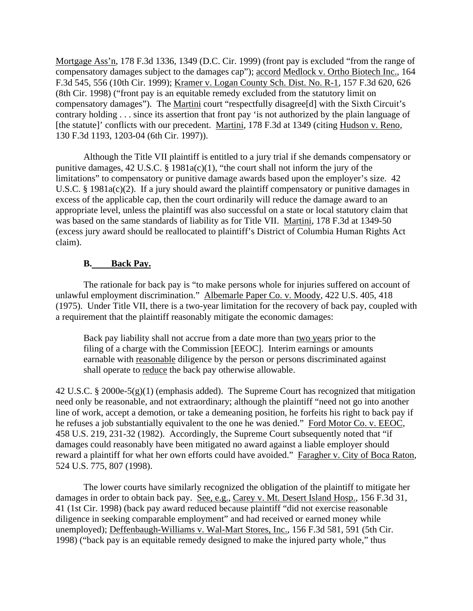Mortgage Ass'n, 178 F.3d 1336, 1349 (D.C. Cir. 1999) (front pay is excluded "from the range of compensatory damages subject to the damages cap"); accord Medlock v. Ortho Biotech Inc., 164 F.3d 545, 556 (10th Cir. 1999); Kramer v. Logan County Sch. Dist. No. R-1, 157 F.3d 620, 626 (8th Cir. 1998) ("front pay is an equitable remedy excluded from the statutory limit on compensatory damages"). The Martini court "respectfully disagree[d] with the Sixth Circuit's contrary holding . . . since its assertion that front pay 'is not authorized by the plain language of [the statute]' conflicts with our precedent. Martini, 178 F.3d at 1349 (citing Hudson v. Reno, 130 F.3d 1193, 1203-04 (6th Cir. 1997)).

Although the Title VII plaintiff is entitled to a jury trial if she demands compensatory or punitive damages, 42 U.S.C. § 1981a(c)(1), "the court shall not inform the jury of the limitations" to compensatory or punitive damage awards based upon the employer's size. 42 U.S.C. § 1981a(c)(2). If a jury should award the plaintiff compensatory or punitive damages in excess of the applicable cap, then the court ordinarily will reduce the damage award to an appropriate level, unless the plaintiff was also successful on a state or local statutory claim that was based on the same standards of liability as for Title VII. Martini, 178 F.3d at 1349-50 (excess jury award should be reallocated to plaintiff's District of Columbia Human Rights Act claim).

#### **B. Back Pay.**

The rationale for back pay is "to make persons whole for injuries suffered on account of unlawful employment discrimination." Albemarle Paper Co. v. Moody, 422 U.S. 405, 418 (1975). Under Title VII, there is a two-year limitation for the recovery of back pay, coupled with a requirement that the plaintiff reasonably mitigate the economic damages:

Back pay liability shall not accrue from a date more than two years prior to the filing of a charge with the Commission [EEOC]. Interim earnings or amounts earnable with reasonable diligence by the person or persons discriminated against shall operate to reduce the back pay otherwise allowable.

42 U.S.C. § 2000e-5(g)(1) (emphasis added). The Supreme Court has recognized that mitigation need only be reasonable, and not extraordinary; although the plaintiff "need not go into another line of work, accept a demotion, or take a demeaning position, he forfeits his right to back pay if he refuses a job substantially equivalent to the one he was denied." Ford Motor Co. v. EEOC, 458 U.S. 219, 231-32 (1982). Accordingly, the Supreme Court subsequently noted that "if damages could reasonably have been mitigated no award against a liable employer should reward a plaintiff for what her own efforts could have avoided." Faragher v. City of Boca Raton, 524 U.S. 775, 807 (1998).

The lower courts have similarly recognized the obligation of the plaintiff to mitigate her damages in order to obtain back pay. See, e.g., Carey v. Mt. Desert Island Hosp., 156 F.3d 31, 41 (1st Cir. 1998) (back pay award reduced because plaintiff "did not exercise reasonable diligence in seeking comparable employment" and had received or earned money while unemployed); Deffenbaugh-Williams v. Wal-Mart Stores, Inc., 156 F.3d 581, 591 (5th Cir. 1998) ("back pay is an equitable remedy designed to make the injured party whole," thus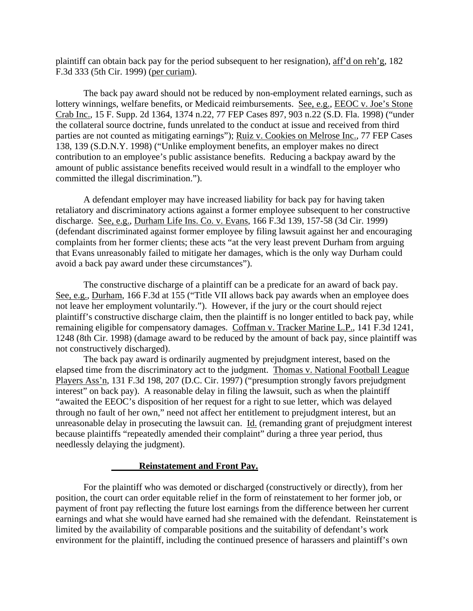plaintiff can obtain back pay for the period subsequent to her resignation), aff'd on reh'g, 182 F.3d 333 (5th Cir. 1999) (per curiam).

The back pay award should not be reduced by non-employment related earnings, such as lottery winnings, welfare benefits, or Medicaid reimbursements. See, e.g., EEOC v. Joe's Stone Crab Inc., 15 F. Supp. 2d 1364, 1374 n.22, 77 FEP Cases 897, 903 n.22 (S.D. Fla. 1998) ("under the collateral source doctrine, funds unrelated to the conduct at issue and received from third parties are not counted as mitigating earnings"); Ruiz v. Cookies on Melrose Inc., 77 FEP Cases 138, 139 (S.D.N.Y. 1998) ("Unlike employment benefits, an employer makes no direct contribution to an employee's public assistance benefits. Reducing a backpay award by the amount of public assistance benefits received would result in a windfall to the employer who committed the illegal discrimination.").

A defendant employer may have increased liability for back pay for having taken retaliatory and discriminatory actions against a former employee subsequent to her constructive discharge. See, e.g., Durham Life Ins. Co. v. Evans, 166 F.3d 139, 157-58 (3d Cir. 1999) (defendant discriminated against former employee by filing lawsuit against her and encouraging complaints from her former clients; these acts "at the very least prevent Durham from arguing that Evans unreasonably failed to mitigate her damages, which is the only way Durham could avoid a back pay award under these circumstances").

The constructive discharge of a plaintiff can be a predicate for an award of back pay. See, e.g., Durham, 166 F.3d at 155 ("Title VII allows back pay awards when an employee does not leave her employment voluntarily."). However, if the jury or the court should reject plaintiff's constructive discharge claim, then the plaintiff is no longer entitled to back pay, while remaining eligible for compensatory damages. Coffman v. Tracker Marine L.P., 141 F.3d 1241, 1248 (8th Cir. 1998) (damage award to be reduced by the amount of back pay, since plaintiff was not constructively discharged).

The back pay award is ordinarily augmented by prejudgment interest, based on the elapsed time from the discriminatory act to the judgment. Thomas v. National Football League Players Ass'n, 131 F.3d 198, 207 (D.C. Cir. 1997) ("presumption strongly favors prejudgment interest" on back pay). A reasonable delay in filing the lawsuit, such as when the plaintiff "awaited the EEOC's disposition of her request for a right to sue letter, which was delayed through no fault of her own," need not affect her entitlement to prejudgment interest, but an unreasonable delay in prosecuting the lawsuit can. Id. (remanding grant of prejudgment interest because plaintiffs "repeatedly amended their complaint" during a three year period, thus needlessly delaying the judgment).

#### **Reinstatement and Front Pay.**

For the plaintiff who was demoted or discharged (constructively or directly), from her position, the court can order equitable relief in the form of reinstatement to her former job, or payment of front pay reflecting the future lost earnings from the difference between her current earnings and what she would have earned had she remained with the defendant. Reinstatement is limited by the availability of comparable positions and the suitability of defendant's work environment for the plaintiff, including the continued presence of harassers and plaintiff's own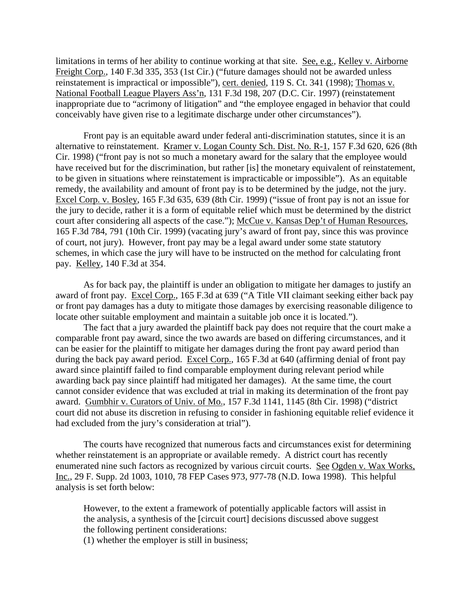limitations in terms of her ability to continue working at that site. See, e.g., Kelley v. Airborne Freight Corp., 140 F.3d 335, 353 (1st Cir.) ("future damages should not be awarded unless reinstatement is impractical or impossible"), cert. denied, 119 S. Ct. 341 (1998); Thomas v. National Football League Players Ass'n, 131 F.3d 198, 207 (D.C. Cir. 1997) (reinstatement inappropriate due to "acrimony of litigation" and "the employee engaged in behavior that could conceivably have given rise to a legitimate discharge under other circumstances").

Front pay is an equitable award under federal anti-discrimination statutes, since it is an alternative to reinstatement. Kramer v. Logan County Sch. Dist. No. R-1, 157 F.3d 620, 626 (8th Cir. 1998) ("front pay is not so much a monetary award for the salary that the employee would have received but for the discrimination, but rather [is] the monetary equivalent of reinstatement, to be given in situations where reinstatement is impracticable or impossible"). As an equitable remedy, the availability and amount of front pay is to be determined by the judge, not the jury. Excel Corp. v. Bosley, 165 F.3d 635, 639 (8th Cir. 1999) ("issue of front pay is not an issue for the jury to decide, rather it is a form of equitable relief which must be determined by the district court after considering all aspects of the case."); McCue v. Kansas Dep't of Human Resources, 165 F.3d 784, 791 (10th Cir. 1999) (vacating jury's award of front pay, since this was province of court, not jury). However, front pay may be a legal award under some state statutory schemes, in which case the jury will have to be instructed on the method for calculating front pay. Kelley, 140 F.3d at 354.

As for back pay, the plaintiff is under an obligation to mitigate her damages to justify an award of front pay. Excel Corp., 165 F.3d at 639 ("A Title VII claimant seeking either back pay or front pay damages has a duty to mitigate those damages by exercising reasonable diligence to locate other suitable employment and maintain a suitable job once it is located.").

The fact that a jury awarded the plaintiff back pay does not require that the court make a comparable front pay award, since the two awards are based on differing circumstances, and it can be easier for the plaintiff to mitigate her damages during the front pay award period than during the back pay award period. Excel Corp., 165 F.3d at 640 (affirming denial of front pay award since plaintiff failed to find comparable employment during relevant period while awarding back pay since plaintiff had mitigated her damages). At the same time, the court cannot consider evidence that was excluded at trial in making its determination of the front pay award. Gumbhir v. Curators of Univ. of Mo., 157 F.3d 1141, 1145 (8th Cir. 1998) ("district court did not abuse its discretion in refusing to consider in fashioning equitable relief evidence it had excluded from the jury's consideration at trial").

The courts have recognized that numerous facts and circumstances exist for determining whether reinstatement is an appropriate or available remedy. A district court has recently enumerated nine such factors as recognized by various circuit courts. See Ogden v. Wax Works, Inc., 29 F. Supp. 2d 1003, 1010, 78 FEP Cases 973, 977-78 (N.D. Iowa 1998). This helpful analysis is set forth below:

However, to the extent a framework of potentially applicable factors will assist in the analysis, a synthesis of the [circuit court] decisions discussed above suggest the following pertinent considerations:

(1) whether the employer is still in business;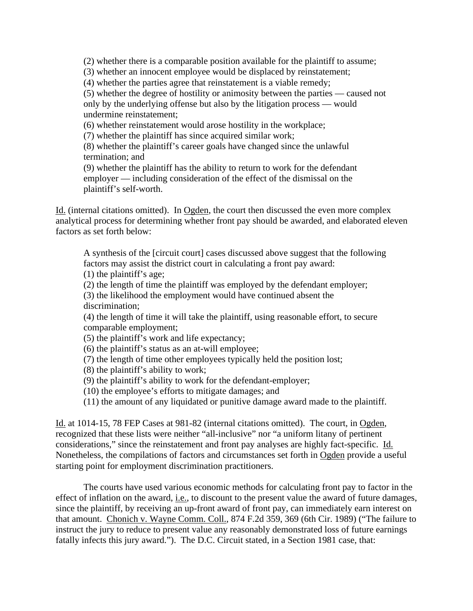(2) whether there is a comparable position available for the plaintiff to assume;

(3) whether an innocent employee would be displaced by reinstatement;

(4) whether the parties agree that reinstatement is a viable remedy;

(5) whether the degree of hostility or animosity between the parties — caused not only by the underlying offense but also by the litigation process — would undermine reinstatement;

(6) whether reinstatement would arose hostility in the workplace;

(7) whether the plaintiff has since acquired similar work;

(8) whether the plaintiff's career goals have changed since the unlawful termination; and

(9) whether the plaintiff has the ability to return to work for the defendant employer — including consideration of the effect of the dismissal on the plaintiff's self-worth.

Id. (internal citations omitted). In Ogden, the court then discussed the even more complex analytical process for determining whether front pay should be awarded, and elaborated eleven factors as set forth below:

A synthesis of the [circuit court] cases discussed above suggest that the following factors may assist the district court in calculating a front pay award:

(1) the plaintiff's age;

(2) the length of time the plaintiff was employed by the defendant employer;

(3) the likelihood the employment would have continued absent the discrimination;

(4) the length of time it will take the plaintiff, using reasonable effort, to secure comparable employment;

(5) the plaintiff's work and life expectancy;

(6) the plaintiff's status as an at-will employee;

(7) the length of time other employees typically held the position lost;

(8) the plaintiff's ability to work;

(9) the plaintiff's ability to work for the defendant-employer;

(10) the employee's efforts to mitigate damages; and

(11) the amount of any liquidated or punitive damage award made to the plaintiff.

Id. at 1014-15, 78 FEP Cases at 981-82 (internal citations omitted). The court, in Ogden, recognized that these lists were neither "all-inclusive" nor "a uniform litany of pertinent considerations," since the reinstatement and front pay analyses are highly fact-specific. Id. Nonetheless, the compilations of factors and circumstances set forth in Ogden provide a useful starting point for employment discrimination practitioners.

The courts have used various economic methods for calculating front pay to factor in the effect of inflation on the award, i.e., to discount to the present value the award of future damages, since the plaintiff, by receiving an up-front award of front pay, can immediately earn interest on that amount. Chonich v. Wayne Comm. Coll., 874 F.2d 359, 369 (6th Cir. 1989) ("The failure to instruct the jury to reduce to present value any reasonably demonstrated loss of future earnings fatally infects this jury award."). The D.C. Circuit stated, in a Section 1981 case, that: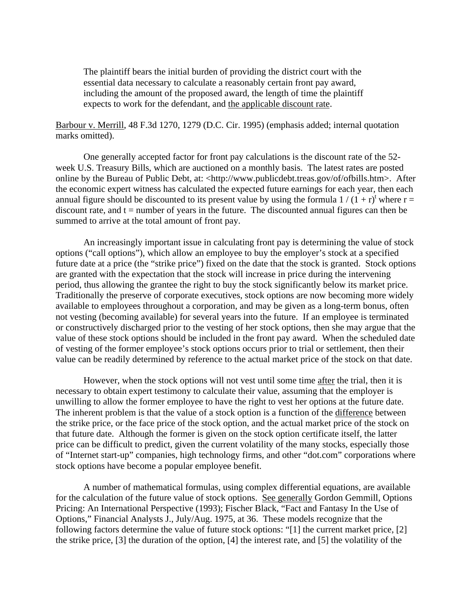The plaintiff bears the initial burden of providing the district court with the essential data necessary to calculate a reasonably certain front pay award, including the amount of the proposed award, the length of time the plaintiff expects to work for the defendant, and the applicable discount rate.

Barbour v. Merrill, 48 F.3d 1270, 1279 (D.C. Cir. 1995) (emphasis added; internal quotation marks omitted).

One generally accepted factor for front pay calculations is the discount rate of the 52 week U.S. Treasury Bills, which are auctioned on a monthly basis. The latest rates are posted online by the Bureau of Public Debt, at: <http://www.publicdebt.treas.gov/of/ofbills.htm>. After the economic expert witness has calculated the expected future earnings for each year, then each annual figure should be discounted to its present value by using the formula  $1/(1+r)^t$  where r = discount rate, and  $t =$  number of years in the future. The discounted annual figures can then be summed to arrive at the total amount of front pay.

An increasingly important issue in calculating front pay is determining the value of stock options ("call options"), which allow an employee to buy the employer's stock at a specified future date at a price (the "strike price") fixed on the date that the stock is granted. Stock options are granted with the expectation that the stock will increase in price during the intervening period, thus allowing the grantee the right to buy the stock significantly below its market price. Traditionally the preserve of corporate executives, stock options are now becoming more widely available to employees throughout a corporation, and may be given as a long-term bonus, often not vesting (becoming available) for several years into the future. If an employee is terminated or constructively discharged prior to the vesting of her stock options, then she may argue that the value of these stock options should be included in the front pay award. When the scheduled date of vesting of the former employee's stock options occurs prior to trial or settlement, then their value can be readily determined by reference to the actual market price of the stock on that date.

However, when the stock options will not vest until some time after the trial, then it is necessary to obtain expert testimony to calculate their value, assuming that the employer is unwilling to allow the former employee to have the right to vest her options at the future date. The inherent problem is that the value of a stock option is a function of the difference between the strike price, or the face price of the stock option, and the actual market price of the stock on that future date. Although the former is given on the stock option certificate itself, the latter price can be difficult to predict, given the current volatility of the many stocks, especially those of "Internet start-up" companies, high technology firms, and other "dot.com" corporations where stock options have become a popular employee benefit.

A number of mathematical formulas, using complex differential equations, are available for the calculation of the future value of stock options. See generally Gordon Gemmill, Options Pricing: An International Perspective (1993); Fischer Black, "Fact and Fantasy In the Use of Options," Financial Analysts J., July/Aug. 1975, at 36. These models recognize that the following factors determine the value of future stock options: "[1] the current market price, [2] the strike price, [3] the duration of the option, [4] the interest rate, and [5] the volatility of the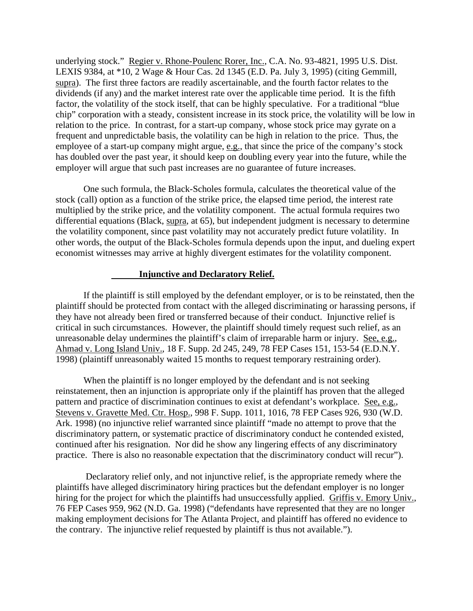underlying stock." Regier v. Rhone-Poulenc Rorer, Inc., C.A. No. 93-4821, 1995 U.S. Dist. LEXIS 9384, at \*10, 2 Wage & Hour Cas. 2d 1345 (E.D. Pa. July 3, 1995) (citing Gemmill, supra). The first three factors are readily ascertainable, and the fourth factor relates to the dividends (if any) and the market interest rate over the applicable time period. It is the fifth factor, the volatility of the stock itself, that can be highly speculative. For a traditional "blue chip" corporation with a steady, consistent increase in its stock price, the volatility will be low in relation to the price. In contrast, for a start-up company, whose stock price may gyrate on a frequent and unpredictable basis, the volatility can be high in relation to the price. Thus, the employee of a start-up company might argue, e.g., that since the price of the company's stock has doubled over the past year, it should keep on doubling every year into the future, while the employer will argue that such past increases are no guarantee of future increases.

One such formula, the Black-Scholes formula, calculates the theoretical value of the stock (call) option as a function of the strike price, the elapsed time period, the interest rate multiplied by the strike price, and the volatility component. The actual formula requires two differential equations (Black, supra, at 65), but independent judgment is necessary to determine the volatility component, since past volatility may not accurately predict future volatility. In other words, the output of the Black-Scholes formula depends upon the input, and dueling expert economist witnesses may arrive at highly divergent estimates for the volatility component.

#### **Injunctive and Declaratory Relief.**

If the plaintiff is still employed by the defendant employer, or is to be reinstated, then the plaintiff should be protected from contact with the alleged discriminating or harassing persons, if they have not already been fired or transferred because of their conduct. Injunctive relief is critical in such circumstances. However, the plaintiff should timely request such relief, as an unreasonable delay undermines the plaintiff's claim of irreparable harm or injury. See, e.g., Ahmad v. Long Island Univ., 18 F. Supp. 2d 245, 249, 78 FEP Cases 151, 153-54 (E.D.N.Y. 1998) (plaintiff unreasonably waited 15 months to request temporary restraining order).

When the plaintiff is no longer employed by the defendant and is not seeking reinstatement, then an injunction is appropriate only if the plaintiff has proven that the alleged pattern and practice of discrimination continues to exist at defendant's workplace. See, e.g., Stevens v. Gravette Med. Ctr. Hosp., 998 F. Supp. 1011, 1016, 78 FEP Cases 926, 930 (W.D. Ark. 1998) (no injunctive relief warranted since plaintiff "made no attempt to prove that the discriminatory pattern, or systematic practice of discriminatory conduct he contended existed, continued after his resignation. Nor did he show any lingering effects of any discriminatory practice. There is also no reasonable expectation that the discriminatory conduct will recur").

 Declaratory relief only, and not injunctive relief, is the appropriate remedy where the plaintiffs have alleged discriminatory hiring practices but the defendant employer is no longer hiring for the project for which the plaintiffs had unsuccessfully applied. Griffis v. Emory Univ., 76 FEP Cases 959, 962 (N.D. Ga. 1998) ("defendants have represented that they are no longer making employment decisions for The Atlanta Project, and plaintiff has offered no evidence to the contrary. The injunctive relief requested by plaintiff is thus not available.").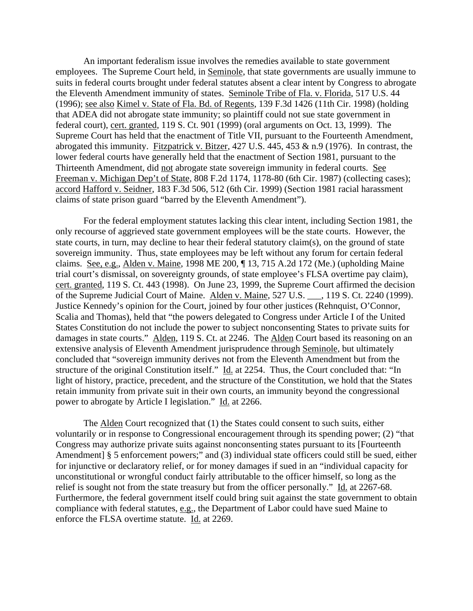An important federalism issue involves the remedies available to state government employees. The Supreme Court held, in Seminole, that state governments are usually immune to suits in federal courts brought under federal statutes absent a clear intent by Congress to abrogate the Eleventh Amendment immunity of states. Seminole Tribe of Fla. v. Florida, 517 U.S. 44 (1996); see also Kimel v. State of Fla. Bd. of Regents, 139 F.3d 1426 (11th Cir. 1998) (holding that ADEA did not abrogate state immunity; so plaintiff could not sue state government in federal court), cert. granted, 119 S. Ct. 901 (1999) (oral arguments on Oct. 13, 1999). The Supreme Court has held that the enactment of Title VII, pursuant to the Fourteenth Amendment, abrogated this immunity. Fitzpatrick v. Bitzer, 427 U.S. 445, 453 & n.9 (1976). In contrast, the lower federal courts have generally held that the enactment of Section 1981, pursuant to the Thirteenth Amendment, did not abrogate state sovereign immunity in federal courts. See Freeman v. Michigan Dep't of State, 808 F.2d 1174, 1178-80 (6th Cir. 1987) (collecting cases); accord Hafford v. Seidner, 183 F.3d 506, 512 (6th Cir. 1999) (Section 1981 racial harassment claims of state prison guard "barred by the Eleventh Amendment").

For the federal employment statutes lacking this clear intent, including Section 1981, the only recourse of aggrieved state government employees will be the state courts. However, the state courts, in turn, may decline to hear their federal statutory claim(s), on the ground of state sovereign immunity. Thus, state employees may be left without any forum for certain federal claims. See, e.g., Alden v. Maine, 1998 ME 200, ¶ 13, 715 A.2d 172 (Me.) (upholding Maine trial court's dismissal, on sovereignty grounds, of state employee's FLSA overtime pay claim), cert. granted, 119 S. Ct. 443 (1998). On June 23, 1999, the Supreme Court affirmed the decision of the Supreme Judicial Court of Maine. Alden v. Maine, 527 U.S. \_\_\_, 119 S. Ct. 2240 (1999). Justice Kennedy's opinion for the Court, joined by four other justices (Rehnquist, O'Connor, Scalia and Thomas), held that "the powers delegated to Congress under Article I of the United States Constitution do not include the power to subject nonconsenting States to private suits for damages in state courts." Alden, 119 S. Ct. at 2246. The Alden Court based its reasoning on an extensive analysis of Eleventh Amendment jurisprudence through Seminole, but ultimately concluded that "sovereign immunity derives not from the Eleventh Amendment but from the structure of the original Constitution itself." Id. at 2254. Thus, the Court concluded that: "In light of history, practice, precedent, and the structure of the Constitution, we hold that the States retain immunity from private suit in their own courts, an immunity beyond the congressional power to abrogate by Article I legislation." Id. at 2266.

The Alden Court recognized that (1) the States could consent to such suits, either voluntarily or in response to Congressional encouragement through its spending power; (2) "that Congress may authorize private suits against nonconsenting states pursuant to its [Fourteenth Amendment] § 5 enforcement powers;" and (3) individual state officers could still be sued, either for injunctive or declaratory relief, or for money damages if sued in an "individual capacity for unconstitutional or wrongful conduct fairly attributable to the officer himself, so long as the relief is sought not from the state treasury but from the officer personally." Id. at 2267-68. Furthermore, the federal government itself could bring suit against the state government to obtain compliance with federal statutes, e.g., the Department of Labor could have sued Maine to enforce the FLSA overtime statute. Id. at 2269.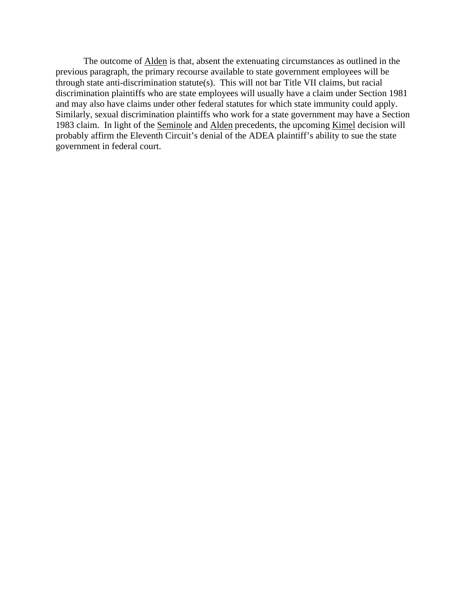The outcome of Alden is that, absent the extenuating circumstances as outlined in the previous paragraph, the primary recourse available to state government employees will be through state anti-discrimination statute(s). This will not bar Title VII claims, but racial discrimination plaintiffs who are state employees will usually have a claim under Section 1981 and may also have claims under other federal statutes for which state immunity could apply. Similarly, sexual discrimination plaintiffs who work for a state government may have a Section 1983 claim. In light of the <u>Seminole</u> and Alden precedents, the upcoming <u>Kimel</u> decision will probably affirm the Eleventh Circuit's denial of the ADEA plaintiff's ability to sue the state government in federal court.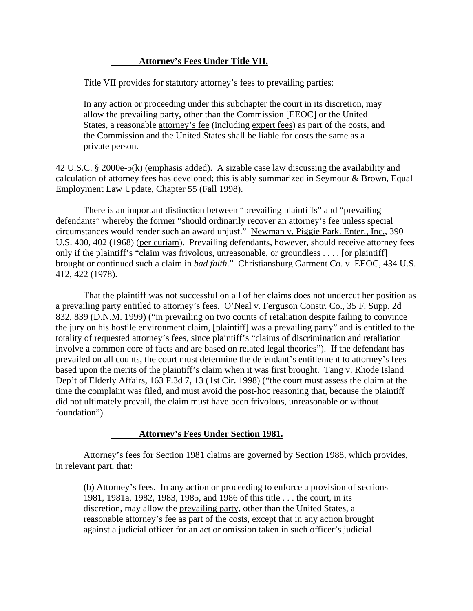# **Attorney's Fees Under Title VII.**

Title VII provides for statutory attorney's fees to prevailing parties:

In any action or proceeding under this subchapter the court in its discretion, may allow the prevailing party, other than the Commission [EEOC] or the United States, a reasonable attorney's fee (including expert fees) as part of the costs, and the Commission and the United States shall be liable for costs the same as a private person.

42 U.S.C. § 2000e-5(k) (emphasis added). A sizable case law discussing the availability and calculation of attorney fees has developed; this is ably summarized in Seymour & Brown, Equal Employment Law Update, Chapter 55 (Fall 1998).

There is an important distinction between "prevailing plaintiffs" and "prevailing defendants" whereby the former "should ordinarily recover an attorney's fee unless special circumstances would render such an award unjust." Newman v. Piggie Park. Enter., Inc., 390 U.S. 400, 402 (1968) (per curiam). Prevailing defendants, however, should receive attorney fees only if the plaintiff's "claim was frivolous, unreasonable, or groundless . . . . [or plaintiff] brought or continued such a claim in *bad faith*." Christiansburg Garment Co. v. EEOC, 434 U.S. 412, 422 (1978).

That the plaintiff was not successful on all of her claims does not undercut her position as a prevailing party entitled to attorney's fees. O'Neal v. Ferguson Constr. Co., 35 F. Supp. 2d 832, 839 (D.N.M. 1999) ("in prevailing on two counts of retaliation despite failing to convince the jury on his hostile environment claim, [plaintiff] was a prevailing party" and is entitled to the totality of requested attorney's fees, since plaintiff's "claims of discrimination and retaliation involve a common core of facts and are based on related legal theories"). If the defendant has prevailed on all counts, the court must determine the defendant's entitlement to attorney's fees based upon the merits of the plaintiff's claim when it was first brought. Tang v. Rhode Island Dep't of Elderly Affairs, 163 F.3d 7, 13 (1st Cir. 1998) ("the court must assess the claim at the time the complaint was filed, and must avoid the post-hoc reasoning that, because the plaintiff did not ultimately prevail, the claim must have been frivolous, unreasonable or without foundation").

#### **Attorney's Fees Under Section 1981.**

Attorney's fees for Section 1981 claims are governed by Section 1988, which provides, in relevant part, that:

(b) Attorney's fees. In any action or proceeding to enforce a provision of sections 1981, 1981a, 1982, 1983, 1985, and 1986 of this title . . . the court, in its discretion, may allow the prevailing party, other than the United States, a reasonable attorney's fee as part of the costs, except that in any action brought against a judicial officer for an act or omission taken in such officer's judicial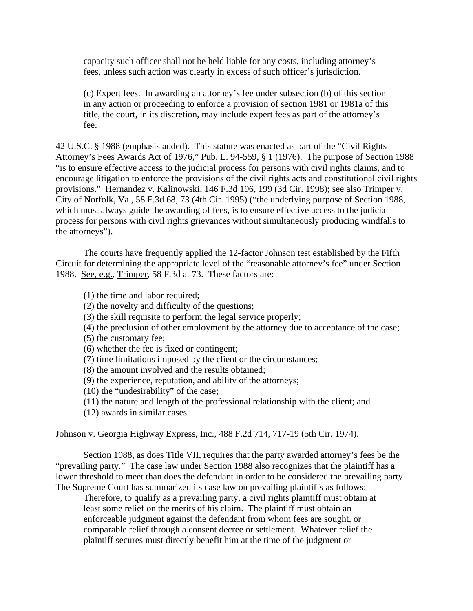capacity such officer shall not be held liable for any costs, including attorney's fees, unless such action was clearly in excess of such officer's jurisdiction.

(c) Expert fees. In awarding an attorney's fee under subsection (b) of this section in any action or proceeding to enforce a provision of section 1981 or 1981a of this title, the court, in its discretion, may include expert fees as part of the attorney's fee.

42 U.S.C. § 1988 (emphasis added). This statute was enacted as part of the "Civil Rights Attorney's Fees Awards Act of 1976," Pub. L. 94-559, § 1 (1976). The purpose of Section 1988 "is to ensure effective access to the judicial process for persons with civil rights claims, and to encourage litigation to enforce the provisions of the civil rights acts and constitutional civil rights provisions." Hernandez v. Kalinowski, 146 F.3d 196, 199 (3d Cir. 1998); see also Trimper v. City of Norfolk, Va., 58 F.3d 68, 73 (4th Cir. 1995) ("the underlying purpose of Section 1988, which must always guide the awarding of fees, is to ensure effective access to the judicial process for persons with civil rights grievances without simultaneously producing windfalls to the attorneys").

The courts have frequently applied the 12-factor Johnson test established by the Fifth Circuit for determining the appropriate level of the "reasonable attorney's fee" under Section 1988. See, e.g., Trimper, 58 F.3d at 73. These factors are:

- (1) the time and labor required;
- (2) the novelty and difficulty of the questions;
- (3) the skill requisite to perform the legal service properly;
- (4) the preclusion of other employment by the attorney due to acceptance of the case;
- (5) the customary fee;
- (6) whether the fee is fixed or contingent;
- (7) time limitations imposed by the client or the circumstances;
- (8) the amount involved and the results obtained;
- (9) the experience, reputation, and ability of the attorneys;
- (10) the "undesirability" of the case;
- (11) the nature and length of the professional relationship with the client; and
- (12) awards in similar cases.

# Johnson v. Georgia Highway Express, Inc., 488 F.2d 714, 717-19 (5th Cir. 1974).

Section 1988, as does Title VII, requires that the party awarded attorney's fees be the "prevailing party." The case law under Section 1988 also recognizes that the plaintiff has a lower threshold to meet than does the defendant in order to be considered the prevailing party. The Supreme Court has summarized its case law on prevailing plaintiffs as follows:

Therefore, to qualify as a prevailing party, a civil rights plaintiff must obtain at least some relief on the merits of his claim. The plaintiff must obtain an enforceable judgment against the defendant from whom fees are sought, or comparable relief through a consent decree or settlement. Whatever relief the plaintiff secures must directly benefit him at the time of the judgment or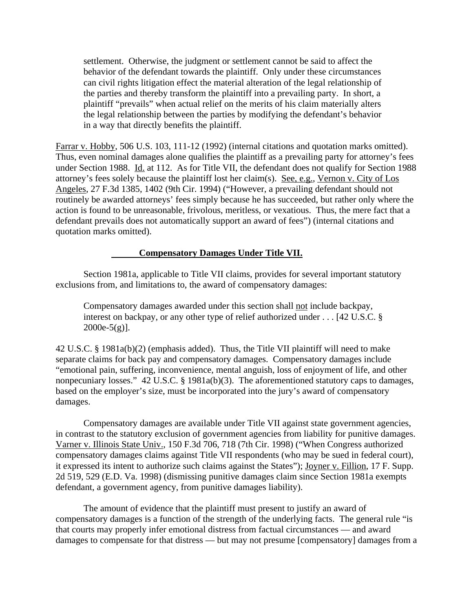settlement. Otherwise, the judgment or settlement cannot be said to affect the behavior of the defendant towards the plaintiff. Only under these circumstances can civil rights litigation effect the material alteration of the legal relationship of the parties and thereby transform the plaintiff into a prevailing party. In short, a plaintiff "prevails" when actual relief on the merits of his claim materially alters the legal relationship between the parties by modifying the defendant's behavior in a way that directly benefits the plaintiff.

Farrar v. Hobby, 506 U.S. 103, 111-12 (1992) (internal citations and quotation marks omitted). Thus, even nominal damages alone qualifies the plaintiff as a prevailing party for attorney's fees under Section 1988. Id. at 112. As for Title VII, the defendant does not qualify for Section 1988 attorney's fees solely because the plaintiff lost her claim(s). See, e.g., Vernon v. City of Los Angeles, 27 F.3d 1385, 1402 (9th Cir. 1994) ("However, a prevailing defendant should not routinely be awarded attorneys' fees simply because he has succeeded, but rather only where the action is found to be unreasonable, frivolous, meritless, or vexatious. Thus, the mere fact that a defendant prevails does not automatically support an award of fees") (internal citations and quotation marks omitted).

#### **Compensatory Damages Under Title VII.**

Section 1981a, applicable to Title VII claims, provides for several important statutory exclusions from, and limitations to, the award of compensatory damages:

Compensatory damages awarded under this section shall not include backpay, interest on backpay, or any other type of relief authorized under . . . [42 U.S.C. §  $2000e-5(g)$ ].

42 U.S.C. § 1981a(b)(2) (emphasis added). Thus, the Title VII plaintiff will need to make separate claims for back pay and compensatory damages. Compensatory damages include "emotional pain, suffering, inconvenience, mental anguish, loss of enjoyment of life, and other nonpecuniary losses." 42 U.S.C. § 1981a(b)(3). The aforementioned statutory caps to damages, based on the employer's size, must be incorporated into the jury's award of compensatory damages.

Compensatory damages are available under Title VII against state government agencies, in contrast to the statutory exclusion of government agencies from liability for punitive damages. Varner v. Illinois State Univ., 150 F.3d 706, 718 (7th Cir. 1998) ("When Congress authorized compensatory damages claims against Title VII respondents (who may be sued in federal court), it expressed its intent to authorize such claims against the States"); Joyner v. Fillion, 17 F. Supp. 2d 519, 529 (E.D. Va. 1998) (dismissing punitive damages claim since Section 1981a exempts defendant, a government agency, from punitive damages liability).

The amount of evidence that the plaintiff must present to justify an award of compensatory damages is a function of the strength of the underlying facts. The general rule "is that courts may properly infer emotional distress from factual circumstances — and award damages to compensate for that distress — but may not presume [compensatory] damages from a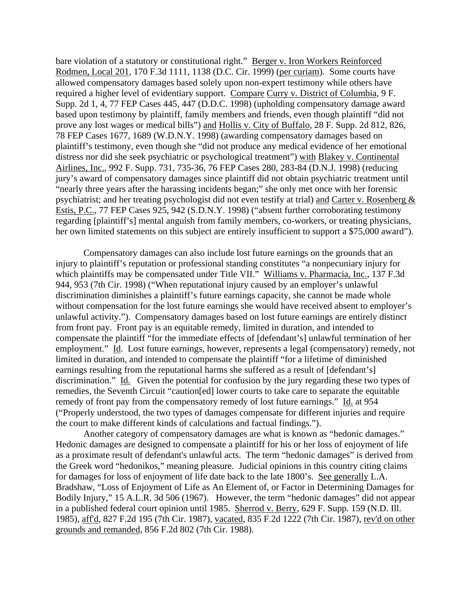bare violation of a statutory or constitutional right." Berger v. Iron Workers Reinforced Rodmen, Local 201, 170 F.3d 1111, 1138 (D.C. Cir. 1999) (per curiam). Some courts have allowed compensatory damages based solely upon non-expert testimony while others have required a higher level of evidentiary support. Compare Curry v. District of Columbia, 9 F. Supp. 2d 1, 4, 77 FEP Cases 445, 447 (D.D.C. 1998) (upholding compensatory damage award based upon testimony by plaintiff, family members and friends, even though plaintiff "did not prove any lost wages or medical bills") and Hollis v. City of Buffalo, 28 F. Supp. 2d 812, 826, 78 FEP Cases 1677, 1689 (W.D.N.Y. 1998) (awarding compensatory damages based on plaintiff's testimony, even though she "did not produce any medical evidence of her emotional distress nor did she seek psychiatric or psychological treatment") with Blakey v. Continental Airlines, Inc., 992 F. Supp. 731, 735-36, 76 FEP Cases 280, 283-84 (D.N.J. 1998) (reducing jury's award of compensatory damages since plaintiff did not obtain psychiatric treatment until "nearly three years after the harassing incidents began;" she only met once with her forensic psychiatrist; and her treating psychologist did not even testify at trial) and Carter v. Rosenberg & Estis, P.C., 77 FEP Cases 925, 942 (S.D.N.Y. 1998) ("absent further corroborating testimony regarding [plaintiff's] mental anguish from family members, co-workers, or treating physicians, her own limited statements on this subject are entirely insufficient to support a \$75,000 award").

Compensatory damages can also include lost future earnings on the grounds that an injury to plaintiff's reputation or professional standing constitutes "a nonpecuniary injury for which plaintiffs may be compensated under Title VII." Williams v. Pharmacia, Inc., 137 F.3d 944, 953 (7th Cir. 1998) ("When reputational injury caused by an employer's unlawful discrimination diminishes a plaintiff's future earnings capacity, she cannot be made whole without compensation for the lost future earnings she would have received absent to employer's unlawful activity."). Compensatory damages based on lost future earnings are entirely distinct from front pay. Front pay is an equitable remedy, limited in duration, and intended to compensate the plaintiff "for the immediate effects of [defendant's] unlawful termination of her employment." Id. Lost future earnings, however, represents a legal (compensatory) remedy, not limited in duration, and intended to compensate the plaintiff "for a lifetime of diminished earnings resulting from the reputational harms she suffered as a result of [defendant's] discrimination." Id. Given the potential for confusion by the jury regarding these two types of remedies, the Seventh Circuit "caution[ed] lower courts to take care to separate the equitable remedy of front pay from the compensatory remedy of lost future earnings." Id. at 954 ("Properly understood, the two types of damages compensate for different injuries and require the court to make different kinds of calculations and factual findings.").

Another category of compensatory damages are what is known as "hedonic damages." Hedonic damages are designed to compensate a plaintiff for his or her loss of enjoyment of life as a proximate result of defendant's unlawful acts. The term "hedonic damages" is derived from the Greek word "hedonikos," meaning pleasure. Judicial opinions in this country citing claims for damages for loss of enjoyment of life date back to the late 1800's. See generally L.A. Bradshaw, "Loss of Enjoyment of Life as An Element of, or Factor in Determining Damages for Bodily Injury," 15 A.L.R. 3d 506 (1967). However, the term "hedonic damages" did not appear in a published federal court opinion until 1985. Sherrod v. Berry, 629 F. Supp. 159 (N.D. Ill. 1985), aff'd, 827 F.2d 195 (7th Cir. 1987), vacated, 835 F.2d 1222 (7th Cir. 1987), rev'd on other grounds and remanded, 856 F.2d 802 (7th Cir. 1988).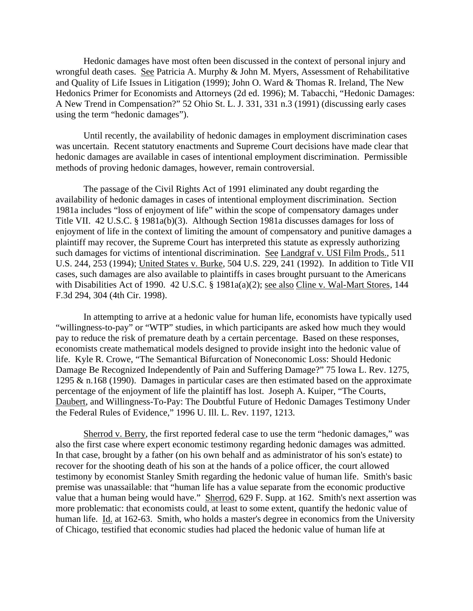Hedonic damages have most often been discussed in the context of personal injury and wrongful death cases. See Patricia A. Murphy & John M. Myers, Assessment of Rehabilitative and Quality of Life Issues in Litigation (1999); John O. Ward & Thomas R. Ireland, The New Hedonics Primer for Economists and Attorneys (2d ed. 1996); M. Tabacchi, "Hedonic Damages: A New Trend in Compensation?" 52 Ohio St. L. J. 331, 331 n.3 (1991) (discussing early cases using the term "hedonic damages").

Until recently, the availability of hedonic damages in employment discrimination cases was uncertain. Recent statutory enactments and Supreme Court decisions have made clear that hedonic damages are available in cases of intentional employment discrimination. Permissible methods of proving hedonic damages, however, remain controversial.

The passage of the Civil Rights Act of 1991 eliminated any doubt regarding the availability of hedonic damages in cases of intentional employment discrimination. Section 1981a includes "loss of enjoyment of life" within the scope of compensatory damages under Title VII. 42 U.S.C. § 1981a(b)(3). Although Section 1981a discusses damages for loss of enjoyment of life in the context of limiting the amount of compensatory and punitive damages a plaintiff may recover, the Supreme Court has interpreted this statute as expressly authorizing such damages for victims of intentional discrimination. See Landgraf v. USI Film Prods., 511 U.S. 244, 253 (1994); United States v. Burke, 504 U.S. 229, 241 (1992). In addition to Title VII cases, such damages are also available to plaintiffs in cases brought pursuant to the Americans with Disabilities Act of 1990. 42 U.S.C. § 1981a(a)(2); see also Cline v. Wal-Mart Stores, 144 F.3d 294, 304 (4th Cir. 1998).

In attempting to arrive at a hedonic value for human life, economists have typically used "willingness-to-pay" or "WTP" studies, in which participants are asked how much they would pay to reduce the risk of premature death by a certain percentage. Based on these responses, economists create mathematical models designed to provide insight into the hedonic value of life. Kyle R. Crowe, "The Semantical Bifurcation of Noneconomic Loss: Should Hedonic Damage Be Recognized Independently of Pain and Suffering Damage?" 75 Iowa L. Rev. 1275, 1295 & n.168 (1990). Damages in particular cases are then estimated based on the approximate percentage of the enjoyment of life the plaintiff has lost. Joseph A. Kuiper, "The Courts, Daubert, and Willingness-To-Pay: The Doubtful Future of Hedonic Damages Testimony Under the Federal Rules of Evidence," 1996 U. Ill. L. Rev. 1197, 1213.

Sherrod v. Berry, the first reported federal case to use the term "hedonic damages," was also the first case where expert economic testimony regarding hedonic damages was admitted. In that case, brought by a father (on his own behalf and as administrator of his son's estate) to recover for the shooting death of his son at the hands of a police officer, the court allowed testimony by economist Stanley Smith regarding the hedonic value of human life. Smith's basic premise was unassailable: that "human life has a value separate from the economic productive value that a human being would have." Sherrod, 629 F. Supp. at 162. Smith's next assertion was more problematic: that economists could, at least to some extent, quantify the hedonic value of human life. Id. at 162-63. Smith, who holds a master's degree in economics from the University of Chicago, testified that economic studies had placed the hedonic value of human life at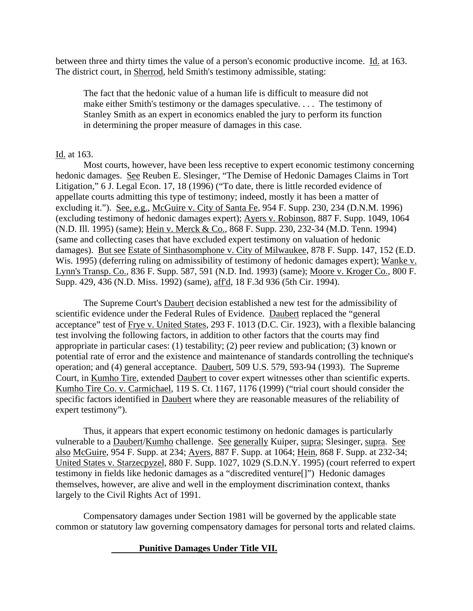between three and thirty times the value of a person's economic productive income. Id. at 163. The district court, in Sherrod, held Smith's testimony admissible, stating:

The fact that the hedonic value of a human life is difficult to measure did not make either Smith's testimony or the damages speculative. . . . The testimony of Stanley Smith as an expert in economics enabled the jury to perform its function in determining the proper measure of damages in this case.

# Id. at 163.

Most courts, however, have been less receptive to expert economic testimony concerning hedonic damages. See Reuben E. Slesinger, "The Demise of Hedonic Damages Claims in Tort Litigation," 6 J. Legal Econ. 17, 18 (1996) ("To date, there is little recorded evidence of appellate courts admitting this type of testimony; indeed, mostly it has been a matter of excluding it."). See, e.g., McGuire v. City of Santa Fe, 954 F. Supp. 230, 234 (D.N.M. 1996) (excluding testimony of hedonic damages expert); Ayers v. Robinson, 887 F. Supp. 1049, 1064 (N.D. Ill. 1995) (same); Hein v. Merck & Co., 868 F. Supp. 230, 232-34 (M.D. Tenn. 1994) (same and collecting cases that have excluded expert testimony on valuation of hedonic damages). But see Estate of Sinthasomphone v. City of Milwaukee, 878 F. Supp. 147, 152 (E.D. Wis. 1995) (deferring ruling on admissibility of testimony of hedonic damages expert); Wanke v. Lynn's Transp. Co., 836 F. Supp. 587, 591 (N.D. Ind. 1993) (same); Moore v. Kroger Co., 800 F. Supp. 429, 436 (N.D. Miss. 1992) (same), aff'd, 18 F.3d 936 (5th Cir. 1994).

The Supreme Court's Daubert decision established a new test for the admissibility of scientific evidence under the Federal Rules of Evidence. Daubert replaced the "general acceptance" test of Frye v. United States, 293 F. 1013 (D.C. Cir. 1923), with a flexible balancing test involving the following factors, in addition to other factors that the courts may find appropriate in particular cases: (1) testability; (2) peer review and publication; (3) known or potential rate of error and the existence and maintenance of standards controlling the technique's operation; and (4) general acceptance. Daubert, 509 U.S. 579, 593-94 (1993). The Supreme Court, in Kumho Tire, extended Daubert to cover expert witnesses other than scientific experts. Kumho Tire Co. v. Carmichael, 119 S. Ct. 1167, 1176 (1999) ("trial court should consider the specific factors identified in Daubert where they are reasonable measures of the reliability of expert testimony").

Thus, it appears that expert economic testimony on hedonic damages is particularly vulnerable to a Daubert/Kumho challenge. See generally Kuiper, supra; Slesinger, supra. See also McGuire, 954 F. Supp. at 234; Ayers, 887 F. Supp. at 1064; Hein, 868 F. Supp. at 232-34; United States v. Starzecpyzel, 880 F. Supp. 1027, 1029 (S.D.N.Y. 1995) (court referred to expert testimony in fields like hedonic damages as a "discredited venture[]") Hedonic damages themselves, however, are alive and well in the employment discrimination context, thanks largely to the Civil Rights Act of 1991.

Compensatory damages under Section 1981 will be governed by the applicable state common or statutory law governing compensatory damages for personal torts and related claims.

# **Punitive Damages Under Title VII.**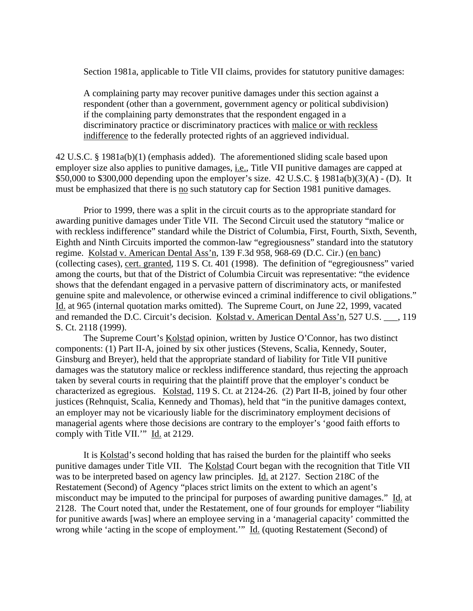Section 1981a, applicable to Title VII claims, provides for statutory punitive damages:

A complaining party may recover punitive damages under this section against a respondent (other than a government, government agency or political subdivision) if the complaining party demonstrates that the respondent engaged in a discriminatory practice or discriminatory practices with malice or with reckless indifference to the federally protected rights of an aggrieved individual.

42 U.S.C. § 1981a(b)(1) (emphasis added). The aforementioned sliding scale based upon employer size also applies to punitive damages, *i.e.*, Title VII punitive damages are capped at \$50,000 to \$300,000 depending upon the employer's size. 42 U.S.C. § 1981a(b)(3)(A) - (D). It must be emphasized that there is no such statutory cap for Section 1981 punitive damages.

Prior to 1999, there was a split in the circuit courts as to the appropriate standard for awarding punitive damages under Title VII. The Second Circuit used the statutory "malice or with reckless indifference" standard while the District of Columbia, First, Fourth, Sixth, Seventh, Eighth and Ninth Circuits imported the common-law "egregiousness" standard into the statutory regime. Kolstad v. American Dental Ass'n, 139 F.3d 958, 968-69 (D.C. Cir.) (en banc) (collecting cases), cert. granted, 119 S. Ct. 401 (1998). The definition of "egregiousness" varied among the courts, but that of the District of Columbia Circuit was representative: "the evidence shows that the defendant engaged in a pervasive pattern of discriminatory acts, or manifested genuine spite and malevolence, or otherwise evinced a criminal indifference to civil obligations." Id. at 965 (internal quotation marks omitted). The Supreme Court, on June 22, 1999, vacated and remanded the D.C. Circuit's decision. Kolstad v. American Dental Ass'n, 527 U.S. \_\_\_, 119 S. Ct. 2118 (1999).

The Supreme Court's **Kolstad** opinion, written by Justice O'Connor, has two distinct components: (1) Part II-A, joined by six other justices (Stevens, Scalia, Kennedy, Souter, Ginsburg and Breyer), held that the appropriate standard of liability for Title VII punitive damages was the statutory malice or reckless indifference standard, thus rejecting the approach taken by several courts in requiring that the plaintiff prove that the employer's conduct be characterized as egregious. Kolstad, 119 S. Ct. at 2124-26. (2) Part II-B, joined by four other justices (Rehnquist, Scalia, Kennedy and Thomas), held that "in the punitive damages context, an employer may not be vicariously liable for the discriminatory employment decisions of managerial agents where those decisions are contrary to the employer's 'good faith efforts to comply with Title VII.'" Id. at 2129.

It is Kolstad's second holding that has raised the burden for the plaintiff who seeks punitive damages under Title VII. The Kolstad Court began with the recognition that Title VII was to be interpreted based on agency law principles. Id. at 2127. Section 218C of the Restatement (Second) of Agency "places strict limits on the extent to which an agent's misconduct may be imputed to the principal for purposes of awarding punitive damages." Id. at 2128. The Court noted that, under the Restatement, one of four grounds for employer "liability for punitive awards [was] where an employee serving in a 'managerial capacity' committed the wrong while 'acting in the scope of employment.'" Id. (quoting Restatement (Second) of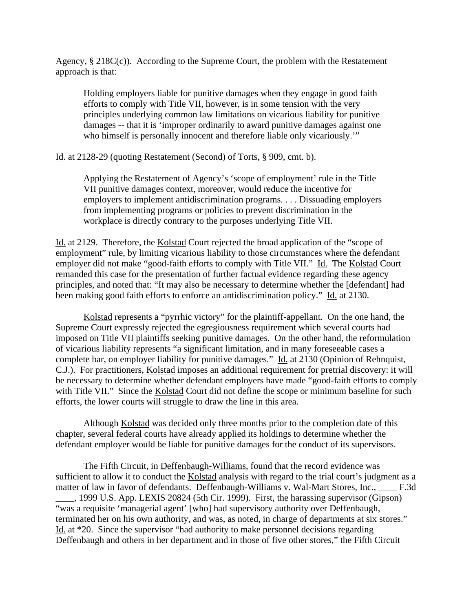Agency, § 218C(c)). According to the Supreme Court, the problem with the Restatement approach is that:

Holding employers liable for punitive damages when they engage in good faith efforts to comply with Title VII, however, is in some tension with the very principles underlying common law limitations on vicarious liability for punitive damages -- that it is 'improper ordinarily to award punitive damages against one who himself is personally innocent and therefore liable only vicariously."

Id. at 2128-29 (quoting Restatement (Second) of Torts, § 909, cmt. b).

Applying the Restatement of Agency's 'scope of employment' rule in the Title VII punitive damages context, moreover, would reduce the incentive for employers to implement antidiscrimination programs. . . . Dissuading employers from implementing programs or policies to prevent discrimination in the workplace is directly contrary to the purposes underlying Title VII.

Id. at 2129. Therefore, the Kolstad Court rejected the broad application of the "scope of employment" rule, by limiting vicarious liability to those circumstances where the defendant employer did not make "good-faith efforts to comply with Title VII." Id. The Kolstad Court remanded this case for the presentation of further factual evidence regarding these agency principles, and noted that: "It may also be necessary to determine whether the [defendant] had been making good faith efforts to enforce an antidiscrimination policy." Id. at 2130.

Kolstad represents a "pyrrhic victory" for the plaintiff-appellant. On the one hand, the Supreme Court expressly rejected the egregiousness requirement which several courts had imposed on Title VII plaintiffs seeking punitive damages. On the other hand, the reformulation of vicarious liability represents "a significant limitation, and in many foreseeable cases a complete bar, on employer liability for punitive damages." Id. at 2130 (Opinion of Rehnquist, C.J.). For practitioners, Kolstad imposes an additional requirement for pretrial discovery: it will be necessary to determine whether defendant employers have made "good-faith efforts to comply with Title VII." Since the Kolstad Court did not define the scope or minimum baseline for such efforts, the lower courts will struggle to draw the line in this area.

Although Kolstad was decided only three months prior to the completion date of this chapter, several federal courts have already applied its holdings to determine whether the defendant employer would be liable for punitive damages for the conduct of its supervisors.

The Fifth Circuit, in Deffenbaugh-Williams, found that the record evidence was sufficient to allow it to conduct the Kolstad analysis with regard to the trial court's judgment as a matter of law in favor of defendants. Deffenbaugh-Williams v. Wal-Mart Stores, Inc., F.3d \_\_\_\_, 1999 U.S. App. LEXIS 20824 (5th Cir. 1999). First, the harassing supervisor (Gipson) "was a requisite 'managerial agent' [who] had supervisory authority over Deffenbaugh, terminated her on his own authority, and was, as noted, in charge of departments at six stores." Id. at \*20. Since the supervisor "had authority to make personnel decisions regarding Deffenbaugh and others in her department and in those of five other stores," the Fifth Circuit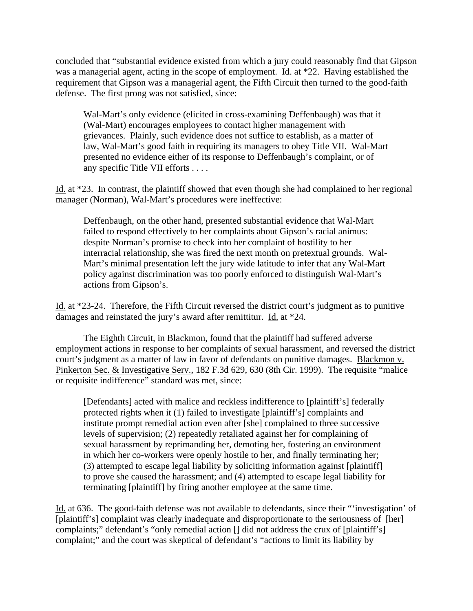concluded that "substantial evidence existed from which a jury could reasonably find that Gipson was a managerial agent, acting in the scope of employment. Id. at \*22. Having established the requirement that Gipson was a managerial agent, the Fifth Circuit then turned to the good-faith defense. The first prong was not satisfied, since:

Wal-Mart's only evidence (elicited in cross-examining Deffenbaugh) was that it (Wal-Mart) encourages employees to contact higher management with grievances. Plainly, such evidence does not suffice to establish, as a matter of law, Wal-Mart's good faith in requiring its managers to obey Title VII. Wal-Mart presented no evidence either of its response to Deffenbaugh's complaint, or of any specific Title VII efforts . . . .

Id. at \*23. In contrast, the plaintiff showed that even though she had complained to her regional manager (Norman), Wal-Mart's procedures were ineffective:

Deffenbaugh, on the other hand, presented substantial evidence that Wal-Mart failed to respond effectively to her complaints about Gipson's racial animus: despite Norman's promise to check into her complaint of hostility to her interracial relationship, she was fired the next month on pretextual grounds. Wal-Mart's minimal presentation left the jury wide latitude to infer that any Wal-Mart policy against discrimination was too poorly enforced to distinguish Wal-Mart's actions from Gipson's.

Id. at \*23-24. Therefore, the Fifth Circuit reversed the district court's judgment as to punitive damages and reinstated the jury's award after remittitur. Id. at \*24.

The Eighth Circuit, in Blackmon, found that the plaintiff had suffered adverse employment actions in response to her complaints of sexual harassment, and reversed the district court's judgment as a matter of law in favor of defendants on punitive damages. Blackmon v. Pinkerton Sec. & Investigative Serv., 182 F.3d 629, 630 (8th Cir. 1999). The requisite "malice or requisite indifference" standard was met, since:

[Defendants] acted with malice and reckless indifference to [plaintiff's] federally protected rights when it (1) failed to investigate [plaintiff's] complaints and institute prompt remedial action even after [she] complained to three successive levels of supervision; (2) repeatedly retaliated against her for complaining of sexual harassment by reprimanding her, demoting her, fostering an environment in which her co-workers were openly hostile to her, and finally terminating her; (3) attempted to escape legal liability by soliciting information against [plaintiff] to prove she caused the harassment; and (4) attempted to escape legal liability for terminating [plaintiff] by firing another employee at the same time.

Id. at 636. The good-faith defense was not available to defendants, since their "'investigation' of [plaintiff's] complaint was clearly inadequate and disproportionate to the seriousness of [her] complaints;" defendant's "only remedial action [] did not address the crux of [plaintiff's] complaint;" and the court was skeptical of defendant's "actions to limit its liability by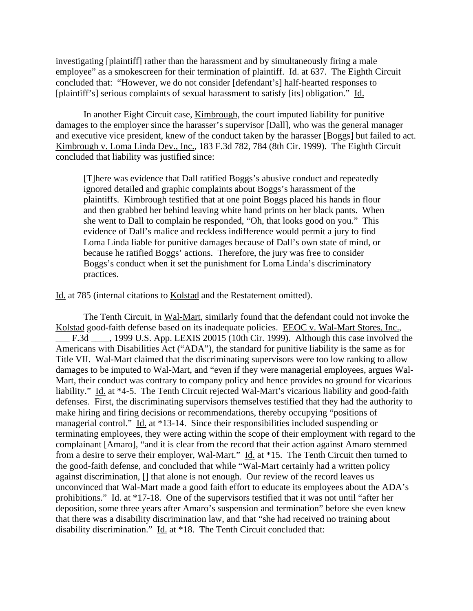investigating [plaintiff] rather than the harassment and by simultaneously firing a male employee" as a smokescreen for their termination of plaintiff. Id. at 637. The Eighth Circuit concluded that: "However, we do not consider [defendant's] half-hearted responses to [plaintiff's] serious complaints of sexual harassment to satisfy [its] obligation." Id.

In another Eight Circuit case, Kimbrough, the court imputed liability for punitive damages to the employer since the harasser's supervisor [Dall], who was the general manager and executive vice president, knew of the conduct taken by the harasser [Boggs] but failed to act. Kimbrough v. Loma Linda Dev., Inc., 183 F.3d 782, 784 (8th Cir. 1999). The Eighth Circuit concluded that liability was justified since:

[T]here was evidence that Dall ratified Boggs's abusive conduct and repeatedly ignored detailed and graphic complaints about Boggs's harassment of the plaintiffs. Kimbrough testified that at one point Boggs placed his hands in flour and then grabbed her behind leaving white hand prints on her black pants. When she went to Dall to complain he responded, "Oh, that looks good on you." This evidence of Dall's malice and reckless indifference would permit a jury to find Loma Linda liable for punitive damages because of Dall's own state of mind, or because he ratified Boggs' actions. Therefore, the jury was free to consider Boggs's conduct when it set the punishment for Loma Linda's discriminatory practices.

Id. at 785 (internal citations to Kolstad and the Restatement omitted).

The Tenth Circuit, in Wal-Mart, similarly found that the defendant could not invoke the Kolstad good-faith defense based on its inadequate policies. EEOC v. Wal-Mart Stores, Inc., \_\_\_ F.3d \_\_\_\_, 1999 U.S. App. LEXIS 20015 (10th Cir. 1999). Although this case involved the Americans with Disabilities Act ("ADA"), the standard for punitive liability is the same as for Title VII. Wal-Mart claimed that the discriminating supervisors were too low ranking to allow damages to be imputed to Wal-Mart, and "even if they were managerial employees, argues Wal-Mart, their conduct was contrary to company policy and hence provides no ground for vicarious liability." Id. at \*4-5. The Tenth Circuit rejected Wal-Mart's vicarious liability and good-faith defenses. First, the discriminating supervisors themselves testified that they had the authority to make hiring and firing decisions or recommendations, thereby occupying "positions of managerial control." Id. at \*13-14. Since their responsibilities included suspending or terminating employees, they were acting within the scope of their employment with regard to the complainant [Amaro], "and it is clear from the record that their action against Amaro stemmed from a desire to serve their employer, Wal-Mart."  $\underline{Id}$ . at \*15. The Tenth Circuit then turned to the good-faith defense, and concluded that while "Wal-Mart certainly had a written policy against discrimination, [] that alone is not enough. Our review of the record leaves us unconvinced that Wal-Mart made a good faith effort to educate its employees about the ADA's prohibitions." Id. at \*17-18. One of the supervisors testified that it was not until "after her deposition, some three years after Amaro's suspension and termination" before she even knew that there was a disability discrimination law, and that "she had received no training about disability discrimination." Id. at \*18. The Tenth Circuit concluded that: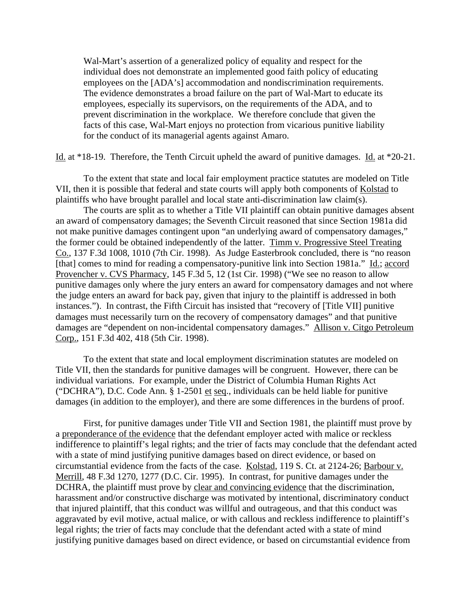Wal-Mart's assertion of a generalized policy of equality and respect for the individual does not demonstrate an implemented good faith policy of educating employees on the [ADA's] accommodation and nondiscrimination requirements. The evidence demonstrates a broad failure on the part of Wal-Mart to educate its employees, especially its supervisors, on the requirements of the ADA, and to prevent discrimination in the workplace. We therefore conclude that given the facts of this case, Wal-Mart enjoys no protection from vicarious punitive liability for the conduct of its managerial agents against Amaro.

Id. at \*18-19. Therefore, the Tenth Circuit upheld the award of punitive damages. Id. at \*20-21.

To the extent that state and local fair employment practice statutes are modeled on Title VII, then it is possible that federal and state courts will apply both components of Kolstad to plaintiffs who have brought parallel and local state anti-discrimination law claim(s).

The courts are split as to whether a Title VII plaintiff can obtain punitive damages absent an award of compensatory damages; the Seventh Circuit reasoned that since Section 1981a did not make punitive damages contingent upon "an underlying award of compensatory damages," the former could be obtained independently of the latter. Timm v. Progressive Steel Treating Co., 137 F.3d 1008, 1010 (7th Cir. 1998). As Judge Easterbrook concluded, there is "no reason [that] comes to mind for reading a compensatory-punitive link into Section 1981a." Id.; accord Provencher v. CVS Pharmacy, 145 F.3d 5, 12 (1st Cir. 1998) ("We see no reason to allow punitive damages only where the jury enters an award for compensatory damages and not where the judge enters an award for back pay, given that injury to the plaintiff is addressed in both instances."). In contrast, the Fifth Circuit has insisted that "recovery of [Title VII] punitive damages must necessarily turn on the recovery of compensatory damages" and that punitive damages are "dependent on non-incidental compensatory damages." Allison v. Citgo Petroleum Corp., 151 F.3d 402, 418 (5th Cir. 1998).

To the extent that state and local employment discrimination statutes are modeled on Title VII, then the standards for punitive damages will be congruent. However, there can be individual variations. For example, under the District of Columbia Human Rights Act ("DCHRA"), D.C. Code Ann. § 1-2501 et seq., individuals can be held liable for punitive damages (in addition to the employer), and there are some differences in the burdens of proof.

First, for punitive damages under Title VII and Section 1981, the plaintiff must prove by a preponderance of the evidence that the defendant employer acted with malice or reckless indifference to plaintiff's legal rights; and the trier of facts may conclude that the defendant acted with a state of mind justifying punitive damages based on direct evidence, or based on circumstantial evidence from the facts of the case. Kolstad, 119 S. Ct. at 2124-26; Barbour v. Merrill, 48 F.3d 1270, 1277 (D.C. Cir. 1995). In contrast, for punitive damages under the DCHRA, the plaintiff must prove by clear and convincing evidence that the discrimination, harassment and/or constructive discharge was motivated by intentional, discriminatory conduct that injured plaintiff, that this conduct was willful and outrageous, and that this conduct was aggravated by evil motive, actual malice, or with callous and reckless indifference to plaintiff's legal rights; the trier of facts may conclude that the defendant acted with a state of mind justifying punitive damages based on direct evidence, or based on circumstantial evidence from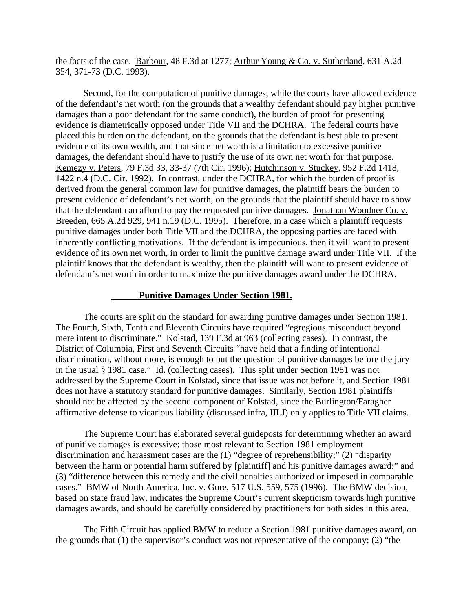the facts of the case. Barbour, 48 F.3d at 1277; Arthur Young & Co. v. Sutherland, 631 A.2d 354, 371-73 (D.C. 1993).

Second, for the computation of punitive damages, while the courts have allowed evidence of the defendant's net worth (on the grounds that a wealthy defendant should pay higher punitive damages than a poor defendant for the same conduct), the burden of proof for presenting evidence is diametrically opposed under Title VII and the DCHRA. The federal courts have placed this burden on the defendant, on the grounds that the defendant is best able to present evidence of its own wealth, and that since net worth is a limitation to excessive punitive damages, the defendant should have to justify the use of its own net worth for that purpose. Kemezy v. Peters, 79 F.3d 33, 33-37 (7th Cir. 1996); Hutchinson v. Stuckey, 952 F.2d 1418, 1422 n.4 (D.C. Cir. 1992). In contrast, under the DCHRA, for which the burden of proof is derived from the general common law for punitive damages, the plaintiff bears the burden to present evidence of defendant's net worth, on the grounds that the plaintiff should have to show that the defendant can afford to pay the requested punitive damages. Jonathan Woodner Co. v. Breeden, 665 A.2d 929, 941 n.19 (D.C. 1995). Therefore, in a case which a plaintiff requests punitive damages under both Title VII and the DCHRA, the opposing parties are faced with inherently conflicting motivations. If the defendant is impecunious, then it will want to present evidence of its own net worth, in order to limit the punitive damage award under Title VII. If the plaintiff knows that the defendant is wealthy, then the plaintiff will want to present evidence of defendant's net worth in order to maximize the punitive damages award under the DCHRA.

#### **Punitive Damages Under Section 1981.**

The courts are split on the standard for awarding punitive damages under Section 1981. The Fourth, Sixth, Tenth and Eleventh Circuits have required "egregious misconduct beyond mere intent to discriminate." Kolstad, 139 F.3d at 963 (collecting cases). In contrast, the District of Columbia, First and Seventh Circuits "have held that a finding of intentional discrimination, without more, is enough to put the question of punitive damages before the jury in the usual § 1981 case." Id. (collecting cases). This split under Section 1981 was not addressed by the Supreme Court in Kolstad, since that issue was not before it, and Section 1981 does not have a statutory standard for punitive damages. Similarly, Section 1981 plaintiffs should not be affected by the second component of Kolstad, since the Burlington/Faragher affirmative defense to vicarious liability (discussed infra, III.J) only applies to Title VII claims.

The Supreme Court has elaborated several guideposts for determining whether an award of punitive damages is excessive; those most relevant to Section 1981 employment discrimination and harassment cases are the (1) "degree of reprehensibility;" (2) "disparity between the harm or potential harm suffered by [plaintiff] and his punitive damages award;" and (3) "difference between this remedy and the civil penalties authorized or imposed in comparable cases." BMW of North America, Inc. v. Gore, 517 U.S. 559, 575 (1996). The BMW decision, based on state fraud law, indicates the Supreme Court's current skepticism towards high punitive damages awards, and should be carefully considered by practitioners for both sides in this area.

The Fifth Circuit has applied **BMW** to reduce a Section 1981 punitive damages award, on the grounds that (1) the supervisor's conduct was not representative of the company; (2) "the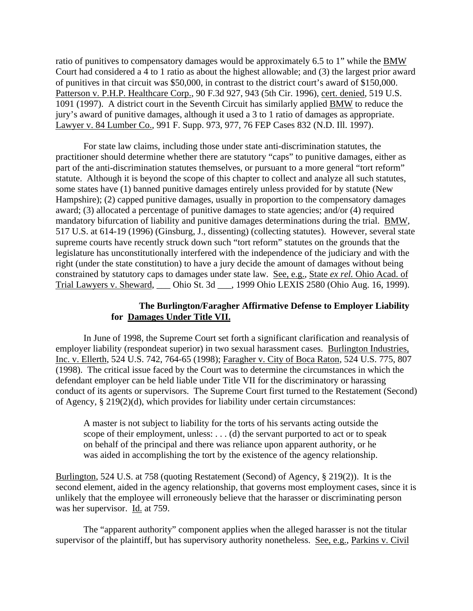ratio of punitives to compensatory damages would be approximately 6.5 to 1" while the BMW Court had considered a 4 to 1 ratio as about the highest allowable; and (3) the largest prior award of punitives in that circuit was \$50,000, in contrast to the district court's award of \$150,000. Patterson v. P.H.P. Healthcare Corp., 90 F.3d 927, 943 (5th Cir. 1996), cert. denied, 519 U.S. 1091 (1997). A district court in the Seventh Circuit has similarly applied BMW to reduce the jury's award of punitive damages, although it used a 3 to 1 ratio of damages as appropriate. Lawyer v. 84 Lumber Co., 991 F. Supp. 973, 977, 76 FEP Cases 832 (N.D. Ill. 1997).

For state law claims, including those under state anti-discrimination statutes, the practitioner should determine whether there are statutory "caps" to punitive damages, either as part of the anti-discrimination statutes themselves, or pursuant to a more general "tort reform" statute. Although it is beyond the scope of this chapter to collect and analyze all such statutes, some states have (1) banned punitive damages entirely unless provided for by statute (New Hampshire); (2) capped punitive damages, usually in proportion to the compensatory damages award; (3) allocated a percentage of punitive damages to state agencies; and/or (4) required mandatory bifurcation of liability and punitive damages determinations during the trial. BMW, 517 U.S. at 614-19 (1996) (Ginsburg, J., dissenting) (collecting statutes). However, several state supreme courts have recently struck down such "tort reform" statutes on the grounds that the legislature has unconstitutionally interfered with the independence of the judiciary and with the right (under the state constitution) to have a jury decide the amount of damages without being constrained by statutory caps to damages under state law. See, e.g., State *ex rel.* Ohio Acad. of Trial Lawyers v. Sheward, \_\_\_ Ohio St. 3d \_\_\_, 1999 Ohio LEXIS 2580 (Ohio Aug. 16, 1999).

# **The Burlington/Faragher Affirmative Defense to Employer Liability for Damages Under Title VII.**

In June of 1998, the Supreme Court set forth a significant clarification and reanalysis of employer liability (respondeat superior) in two sexual harassment cases. Burlington Industries, Inc. v. Ellerth, 524 U.S. 742, 764-65 (1998); Faragher v. City of Boca Raton, 524 U.S. 775, 807 (1998). The critical issue faced by the Court was to determine the circumstances in which the defendant employer can be held liable under Title VII for the discriminatory or harassing conduct of its agents or supervisors. The Supreme Court first turned to the Restatement (Second) of Agency, § 219(2)(d), which provides for liability under certain circumstances:

A master is not subject to liability for the torts of his servants acting outside the scope of their employment, unless: . . . (d) the servant purported to act or to speak on behalf of the principal and there was reliance upon apparent authority, or he was aided in accomplishing the tort by the existence of the agency relationship.

Burlington, 524 U.S. at 758 (quoting Restatement (Second) of Agency, § 219(2)). It is the second element, aided in the agency relationship, that governs most employment cases, since it is unlikely that the employee will erroneously believe that the harasser or discriminating person was her supervisor. Id. at 759.

The "apparent authority" component applies when the alleged harasser is not the titular supervisor of the plaintiff, but has supervisory authority nonetheless. See, e.g., Parkins v. Civil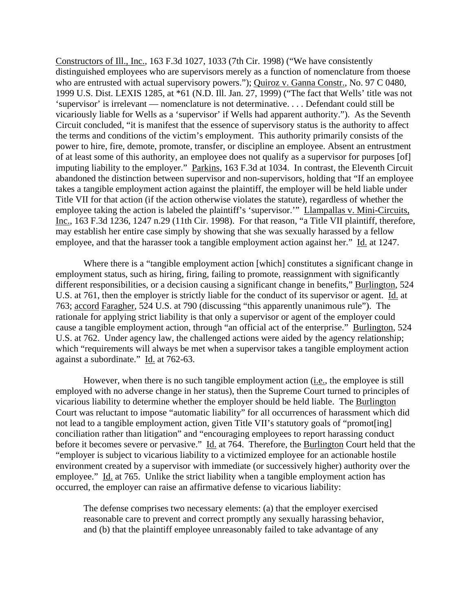Constructors of Ill., Inc., 163 F.3d 1027, 1033 (7th Cir. 1998) ("We have consistently distinguished employees who are supervisors merely as a function of nomenclature from thoese who are entrusted with actual supervisory powers."); Quiroz v. Ganna Constr., No. 97 C 0480, 1999 U.S. Dist. LEXIS 1285, at \*61 (N.D. Ill. Jan. 27, 1999) ("The fact that Wells' title was not 'supervisor' is irrelevant — nomenclature is not determinative. . . . Defendant could still be vicariously liable for Wells as a 'supervisor' if Wells had apparent authority."). As the Seventh Circuit concluded, "it is manifest that the essence of supervisory status is the authority to affect the terms and conditions of the victim's employment. This authority primarily consists of the power to hire, fire, demote, promote, transfer, or discipline an employee. Absent an entrustment of at least some of this authority, an employee does not qualify as a supervisor for purposes [of] imputing liability to the employer." Parkins, 163 F.3d at 1034. In contrast, the Eleventh Circuit abandoned the distinction between supervisor and non-supervisors, holding that "If an employee takes a tangible employment action against the plaintiff, the employer will be held liable under Title VII for that action (if the action otherwise violates the statute), regardless of whether the employee taking the action is labeled the plaintiff's 'supervisor.'" Llampallas v. Mini-Circuits, Inc., 163 F.3d 1236, 1247 n.29 (11th Cir. 1998). For that reason, "a Title VII plaintiff, therefore, may establish her entire case simply by showing that she was sexually harassed by a fellow employee, and that the harasser took a tangible employment action against her." Id. at 1247.

Where there is a "tangible employment action [which] constitutes a significant change in employment status, such as hiring, firing, failing to promote, reassignment with significantly different responsibilities, or a decision causing a significant change in benefits," Burlington, 524 U.S. at 761, then the employer is strictly liable for the conduct of its supervisor or agent. Id. at 763; accord Faragher, 524 U.S. at 790 (discussing "this apparently unanimous rule"). The rationale for applying strict liability is that only a supervisor or agent of the employer could cause a tangible employment action, through "an official act of the enterprise." Burlington, 524 U.S. at 762. Under agency law, the challenged actions were aided by the agency relationship; which "requirements will always be met when a supervisor takes a tangible employment action against a subordinate." Id. at 762-63.

However, when there is no such tangible employment action (i.e., the employee is still employed with no adverse change in her status), then the Supreme Court turned to principles of vicarious liability to determine whether the employer should be held liable. The Burlington Court was reluctant to impose "automatic liability" for all occurrences of harassment which did not lead to a tangible employment action, given Title VII's statutory goals of "promot[ing] conciliation rather than litigation" and "encouraging employees to report harassing conduct before it becomes severe or pervasive." Id. at 764. Therefore, the Burlington Court held that the "employer is subject to vicarious liability to a victimized employee for an actionable hostile environment created by a supervisor with immediate (or successively higher) authority over the employee." Id. at 765. Unlike the strict liability when a tangible employment action has occurred, the employer can raise an affirmative defense to vicarious liability:

The defense comprises two necessary elements: (a) that the employer exercised reasonable care to prevent and correct promptly any sexually harassing behavior, and (b) that the plaintiff employee unreasonably failed to take advantage of any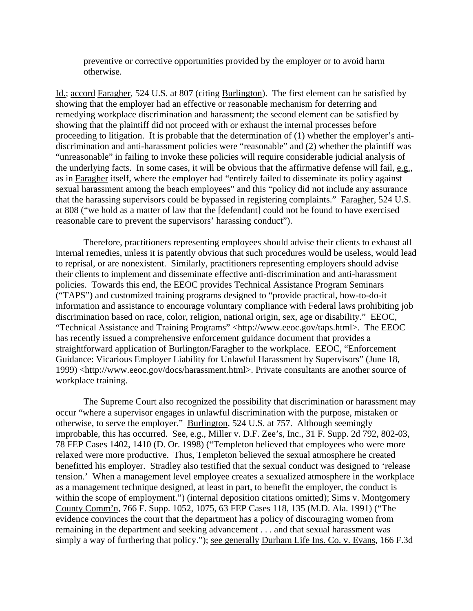preventive or corrective opportunities provided by the employer or to avoid harm otherwise.

Id.; accord Faragher, 524 U.S. at 807 (citing Burlington). The first element can be satisfied by showing that the employer had an effective or reasonable mechanism for deterring and remedying workplace discrimination and harassment; the second element can be satisfied by showing that the plaintiff did not proceed with or exhaust the internal processes before proceeding to litigation. It is probable that the determination of (1) whether the employer's antidiscrimination and anti-harassment policies were "reasonable" and (2) whether the plaintiff was "unreasonable" in failing to invoke these policies will require considerable judicial analysis of the underlying facts. In some cases, it will be obvious that the affirmative defense will fail, e.g., as in Faragher itself, where the employer had "entirely failed to disseminate its policy against sexual harassment among the beach employees" and this "policy did not include any assurance that the harassing supervisors could be bypassed in registering complaints." Faragher, 524 U.S. at 808 ("we hold as a matter of law that the [defendant] could not be found to have exercised reasonable care to prevent the supervisors' harassing conduct").

Therefore, practitioners representing employees should advise their clients to exhaust all internal remedies, unless it is patently obvious that such procedures would be useless, would lead to reprisal, or are nonexistent. Similarly, practitioners representing employers should advise their clients to implement and disseminate effective anti-discrimination and anti-harassment policies. Towards this end, the EEOC provides Technical Assistance Program Seminars ("TAPS") and customized training programs designed to "provide practical, how-to-do-it information and assistance to encourage voluntary compliance with Federal laws prohibiting job discrimination based on race, color, religion, national origin, sex, age or disability." EEOC, "Technical Assistance and Training Programs" <http://www.eeoc.gov/taps.html>. The EEOC has recently issued a comprehensive enforcement guidance document that provides a straightforward application of Burlington/Faragher to the workplace. EEOC, "Enforcement Guidance: Vicarious Employer Liability for Unlawful Harassment by Supervisors" (June 18, 1999) <http://www.eeoc.gov/docs/harassment.html>. Private consultants are another source of workplace training.

The Supreme Court also recognized the possibility that discrimination or harassment may occur "where a supervisor engages in unlawful discrimination with the purpose, mistaken or otherwise, to serve the employer." Burlington, 524 U.S. at 757. Although seemingly improbable, this has occurred. See, e.g., Miller v. D.F. Zee's, Inc., 31 F. Supp. 2d 792, 802-03, 78 FEP Cases 1402, 1410 (D. Or. 1998) ("Templeton believed that employees who were more relaxed were more productive. Thus, Templeton believed the sexual atmosphere he created benefitted his employer. Stradley also testified that the sexual conduct was designed to 'release tension.' When a management level employee creates a sexualized atmosphere in the workplace as a management technique designed, at least in part, to benefit the employer, the conduct is within the scope of employment.") (internal deposition citations omitted); Sims v. Montgomery County Comm'n, 766 F. Supp. 1052, 1075, 63 FEP Cases 118, 135 (M.D. Ala. 1991) ("The evidence convinces the court that the department has a policy of discouraging women from remaining in the department and seeking advancement . . . and that sexual harassment was simply a way of furthering that policy."); see generally Durham Life Ins. Co. v. Evans, 166 F.3d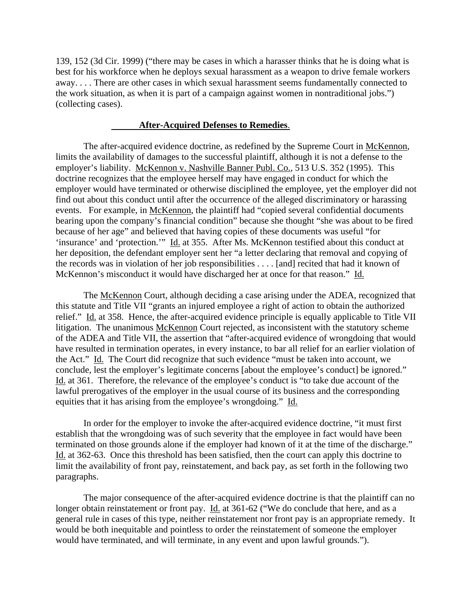139, 152 (3d Cir. 1999) ("there may be cases in which a harasser thinks that he is doing what is best for his workforce when he deploys sexual harassment as a weapon to drive female workers away. . . . There are other cases in which sexual harassment seems fundamentally connected to the work situation, as when it is part of a campaign against women in nontraditional jobs.") (collecting cases).

#### **After-Acquired Defenses to Remedies**.

The after-acquired evidence doctrine, as redefined by the Supreme Court in McKennon, limits the availability of damages to the successful plaintiff, although it is not a defense to the employer's liability. McKennon v. Nashville Banner Publ. Co., 513 U.S. 352 (1995). This doctrine recognizes that the employee herself may have engaged in conduct for which the employer would have terminated or otherwise disciplined the employee, yet the employer did not find out about this conduct until after the occurrence of the alleged discriminatory or harassing events. For example, in McKennon, the plaintiff had "copied several confidential documents bearing upon the company's financial condition" because she thought "she was about to be fired because of her age" and believed that having copies of these documents was useful "for 'insurance' and 'protection.'" Id. at 355. After Ms. McKennon testified about this conduct at her deposition, the defendant employer sent her "a letter declaring that removal and copying of the records was in violation of her job responsibilities . . . . [and] recited that had it known of McKennon's misconduct it would have discharged her at once for that reason." Id.

The McKennon Court, although deciding a case arising under the ADEA, recognized that this statute and Title VII "grants an injured employee a right of action to obtain the authorized relief." Id. at 358. Hence, the after-acquired evidence principle is equally applicable to Title VII litigation. The unanimous McKennon Court rejected, as inconsistent with the statutory scheme of the ADEA and Title VII, the assertion that "after-acquired evidence of wrongdoing that would have resulted in termination operates, in every instance, to bar all relief for an earlier violation of the Act." Id. The Court did recognize that such evidence "must be taken into account, we conclude, lest the employer's legitimate concerns [about the employee's conduct] be ignored." Id. at 361. Therefore, the relevance of the employee's conduct is "to take due account of the lawful prerogatives of the employer in the usual course of its business and the corresponding equities that it has arising from the employee's wrongdoing." Id.

In order for the employer to invoke the after-acquired evidence doctrine, "it must first establish that the wrongdoing was of such severity that the employee in fact would have been terminated on those grounds alone if the employer had known of it at the time of the discharge." Id. at 362-63. Once this threshold has been satisfied, then the court can apply this doctrine to limit the availability of front pay, reinstatement, and back pay, as set forth in the following two paragraphs.

The major consequence of the after-acquired evidence doctrine is that the plaintiff can no longer obtain reinstatement or front pay. Id. at 361-62 ("We do conclude that here, and as a general rule in cases of this type, neither reinstatement nor front pay is an appropriate remedy. It would be both inequitable and pointless to order the reinstatement of someone the employer would have terminated, and will terminate, in any event and upon lawful grounds.").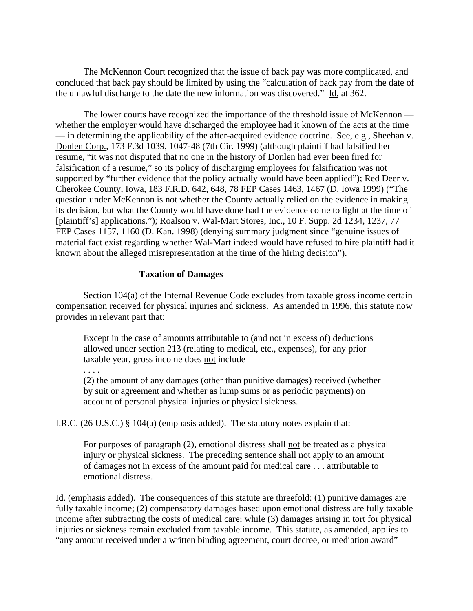The McKennon Court recognized that the issue of back pay was more complicated, and concluded that back pay should be limited by using the "calculation of back pay from the date of the unlawful discharge to the date the new information was discovered." Id. at 362.

The lower courts have recognized the importance of the threshold issue of McKennon whether the employer would have discharged the employee had it known of the acts at the time — in determining the applicability of the after-acquired evidence doctrine. See, e.g., Sheehan v. Donlen Corp., 173 F.3d 1039, 1047-48 (7th Cir. 1999) (although plaintiff had falsified her resume, "it was not disputed that no one in the history of Donlen had ever been fired for falsification of a resume," so its policy of discharging employees for falsification was not supported by "further evidence that the policy actually would have been applied"); Red Deer v. Cherokee County, Iowa, 183 F.R.D. 642, 648, 78 FEP Cases 1463, 1467 (D. Iowa 1999) ("The question under McKennon is not whether the County actually relied on the evidence in making its decision, but what the County would have done had the evidence come to light at the time of [plaintiff's] applications."); Roalson v. Wal-Mart Stores, Inc., 10 F. Supp. 2d 1234, 1237, 77 FEP Cases 1157, 1160 (D. Kan. 1998) (denying summary judgment since "genuine issues of material fact exist regarding whether Wal-Mart indeed would have refused to hire plaintiff had it known about the alleged misrepresentation at the time of the hiring decision").

#### **Taxation of Damages**

Section 104(a) of the Internal Revenue Code excludes from taxable gross income certain compensation received for physical injuries and sickness. As amended in 1996, this statute now provides in relevant part that:

Except in the case of amounts attributable to (and not in excess of) deductions allowed under section 213 (relating to medical, etc., expenses), for any prior taxable year, gross income does not include —

. . . .

(2) the amount of any damages (other than punitive damages) received (whether by suit or agreement and whether as lump sums or as periodic payments) on account of personal physical injuries or physical sickness.

I.R.C. (26 U.S.C.) § 104(a) (emphasis added). The statutory notes explain that:

For purposes of paragraph (2), emotional distress shall not be treated as a physical injury or physical sickness. The preceding sentence shall not apply to an amount of damages not in excess of the amount paid for medical care . . . attributable to emotional distress.

Id. (emphasis added). The consequences of this statute are threefold: (1) punitive damages are fully taxable income; (2) compensatory damages based upon emotional distress are fully taxable income after subtracting the costs of medical care; while (3) damages arising in tort for physical injuries or sickness remain excluded from taxable income. This statute, as amended, applies to "any amount received under a written binding agreement, court decree, or mediation award"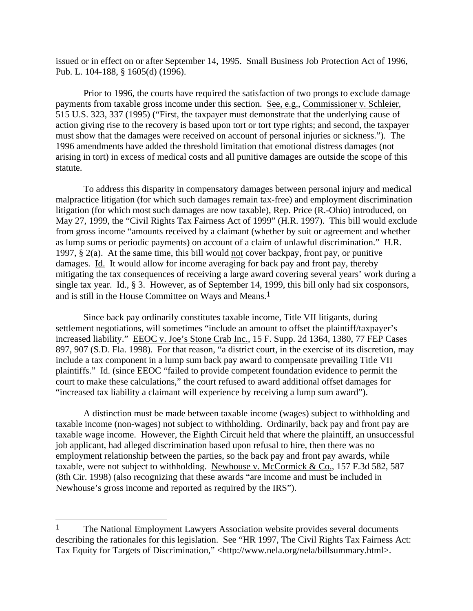issued or in effect on or after September 14, 1995. Small Business Job Protection Act of 1996, Pub. L. 104-188, § 1605(d) (1996).

Prior to 1996, the courts have required the satisfaction of two prongs to exclude damage payments from taxable gross income under this section. See, e.g., Commissioner v. Schleier, 515 U.S. 323, 337 (1995) ("First, the taxpayer must demonstrate that the underlying cause of action giving rise to the recovery is based upon tort or tort type rights; and second, the taxpayer must show that the damages were received on account of personal injuries or sickness."). The 1996 amendments have added the threshold limitation that emotional distress damages (not arising in tort) in excess of medical costs and all punitive damages are outside the scope of this statute.

To address this disparity in compensatory damages between personal injury and medical malpractice litigation (for which such damages remain tax-free) and employment discrimination litigation (for which most such damages are now taxable), Rep. Price (R.-Ohio) introduced, on May 27, 1999, the "Civil Rights Tax Fairness Act of 1999" (H.R. 1997). This bill would exclude from gross income "amounts received by a claimant (whether by suit or agreement and whether as lump sums or periodic payments) on account of a claim of unlawful discrimination." H.R. 1997, § 2(a). At the same time, this bill would not cover backpay, front pay, or punitive damages. Id. It would allow for income averaging for back pay and front pay, thereby mitigating the tax consequences of receiving a large award covering several years' work during a single tax year. Id., § 3. However, as of September 14, 1999, this bill only had six cosponsors, and is still in the House Committee on Ways and Means.1

Since back pay ordinarily constitutes taxable income, Title VII litigants, during settlement negotiations, will sometimes "include an amount to offset the plaintiff/taxpayer's increased liability." EEOC v. Joe's Stone Crab Inc., 15 F. Supp. 2d 1364, 1380, 77 FEP Cases 897, 907 (S.D. Fla. 1998). For that reason, "a district court, in the exercise of its discretion, may include a tax component in a lump sum back pay award to compensate prevailing Title VII plaintiffs." Id. (since EEOC "failed to provide competent foundation evidence to permit the court to make these calculations," the court refused to award additional offset damages for "increased tax liability a claimant will experience by receiving a lump sum award").

A distinction must be made between taxable income (wages) subject to withholding and taxable income (non-wages) not subject to withholding. Ordinarily, back pay and front pay are taxable wage income. However, the Eighth Circuit held that where the plaintiff, an unsuccessful job applicant, had alleged discrimination based upon refusal to hire, then there was no employment relationship between the parties, so the back pay and front pay awards, while taxable, were not subject to withholding. Newhouse v. McCormick & Co., 157 F.3d 582, 587 (8th Cir. 1998) (also recognizing that these awards "are income and must be included in Newhouse's gross income and reported as required by the IRS").

 $\overline{\phantom{a}}$ 

<sup>&</sup>lt;sup>1</sup> The National Employment Lawyers Association website provides several documents describing the rationales for this legislation. See "HR 1997, The Civil Rights Tax Fairness Act: Tax Equity for Targets of Discrimination," <http://www.nela.org/nela/billsummary.html>.